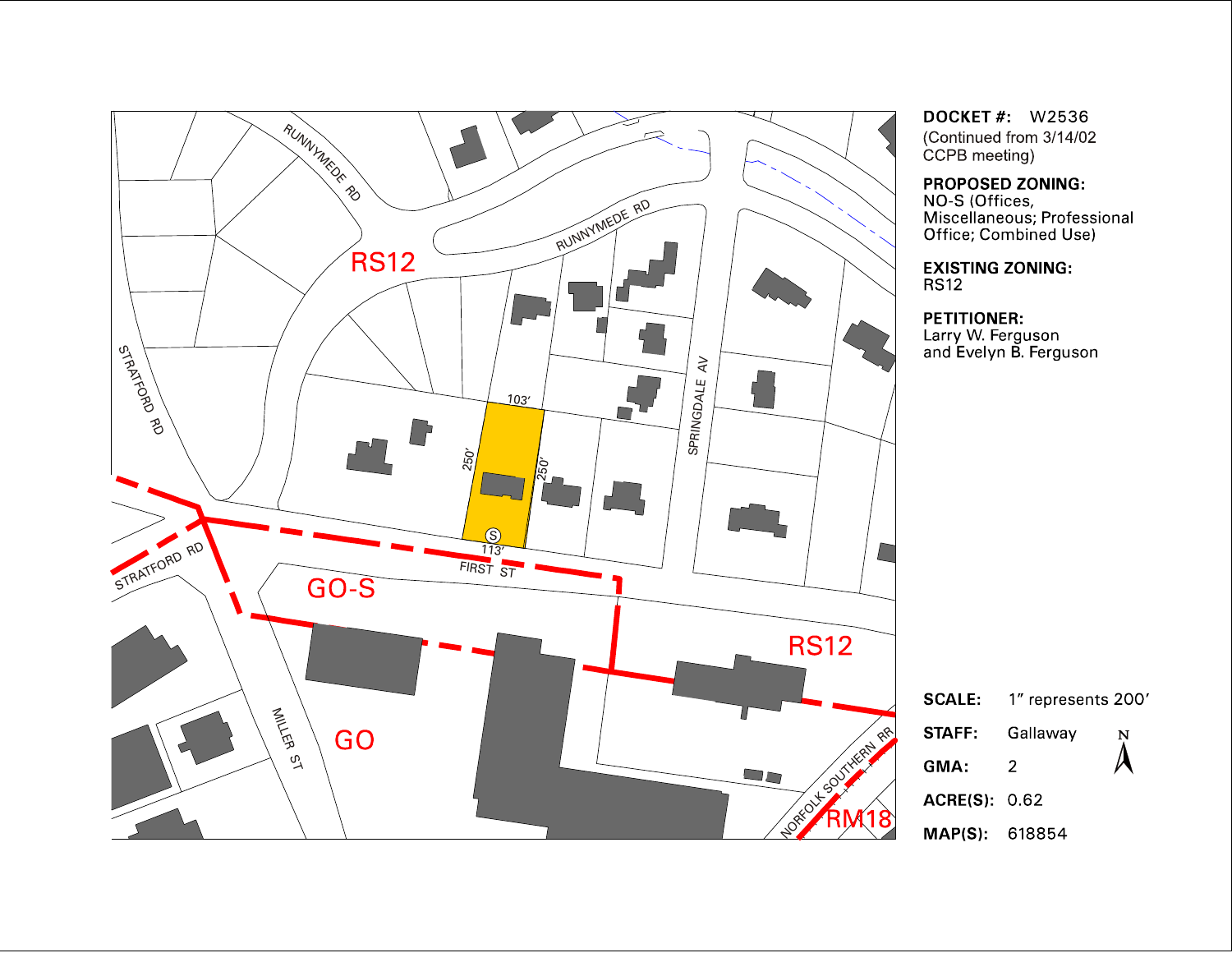

**DOCKET #: W2536** (Continued from 3/14/02 CCPB meeting)

## PROPOSED ZONING:

NO-S (Offices,<br>NO-S (Offices,<br>Miscellaneous; Professional<br>Office; Combined Use)

**EXISTING ZONING: RS12** 

**PETITIONER:** . . . . . . . . . . . . .<br>Larry W. Ferguson<br>and Evelyn B. Ferguson

|                      | $\textsf{SCALE:}\quad$ 1" represents 200' |                |
|----------------------|-------------------------------------------|----------------|
| STAFF:               | Gallaway                                  | $\bm{\lambda}$ |
| GMA:                 | 2                                         |                |
| <b>ACRE(S)</b> 0.62  |                                           |                |
| <b>MAP(S)</b> 618854 |                                           |                |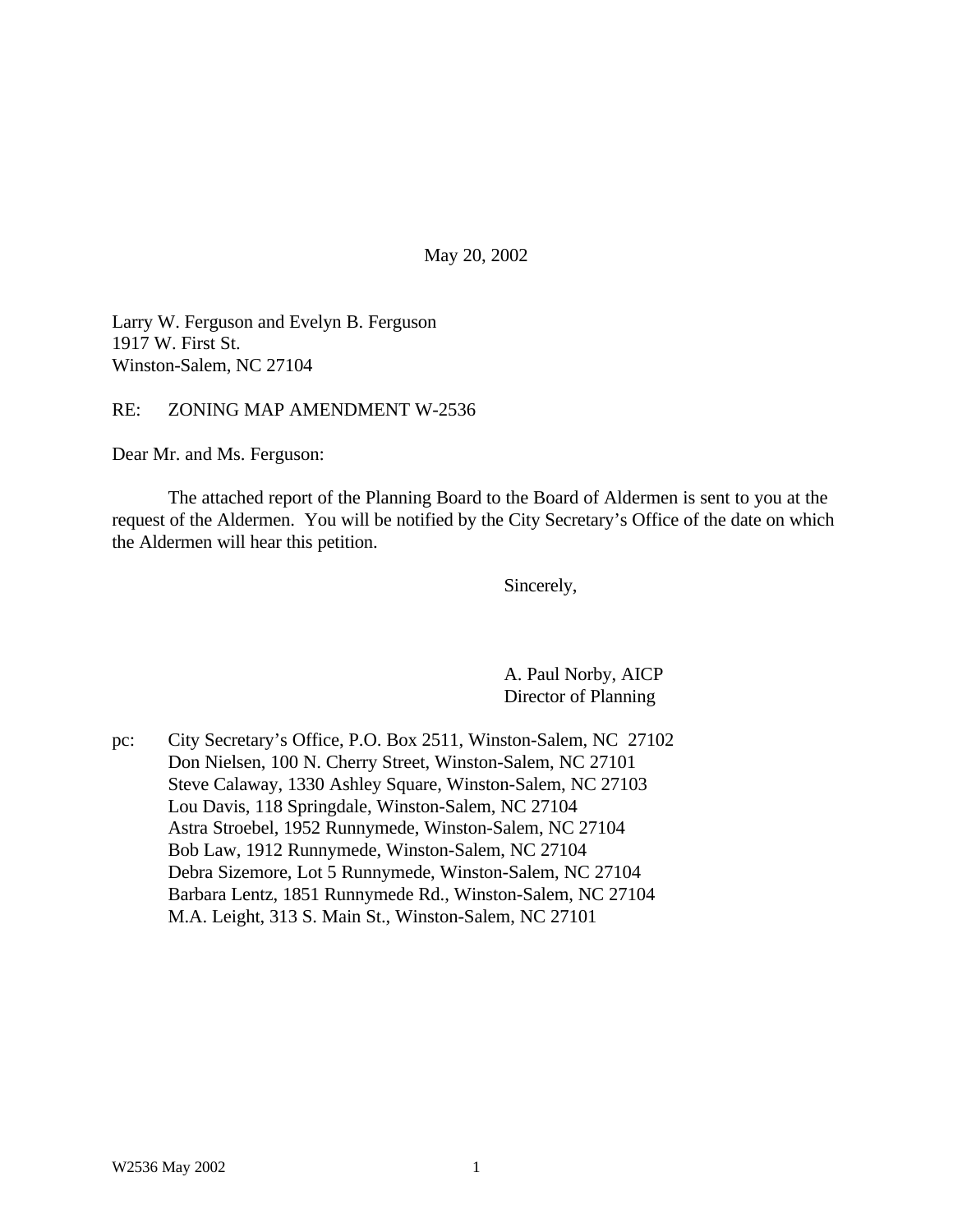May 20, 2002

Larry W. Ferguson and Evelyn B. Ferguson 1917 W. First St. Winston-Salem, NC 27104

RE: ZONING MAP AMENDMENT W-2536

Dear Mr. and Ms. Ferguson:

The attached report of the Planning Board to the Board of Aldermen is sent to you at the request of the Aldermen. You will be notified by the City Secretary's Office of the date on which the Aldermen will hear this petition.

Sincerely,

A. Paul Norby, AICP Director of Planning

pc: City Secretary's Office, P.O. Box 2511, Winston-Salem, NC 27102 Don Nielsen, 100 N. Cherry Street, Winston-Salem, NC 27101 Steve Calaway, 1330 Ashley Square, Winston-Salem, NC 27103 Lou Davis, 118 Springdale, Winston-Salem, NC 27104 Astra Stroebel, 1952 Runnymede, Winston-Salem, NC 27104 Bob Law, 1912 Runnymede, Winston-Salem, NC 27104 Debra Sizemore, Lot 5 Runnymede, Winston-Salem, NC 27104 Barbara Lentz, 1851 Runnymede Rd., Winston-Salem, NC 27104 M.A. Leight, 313 S. Main St., Winston-Salem, NC 27101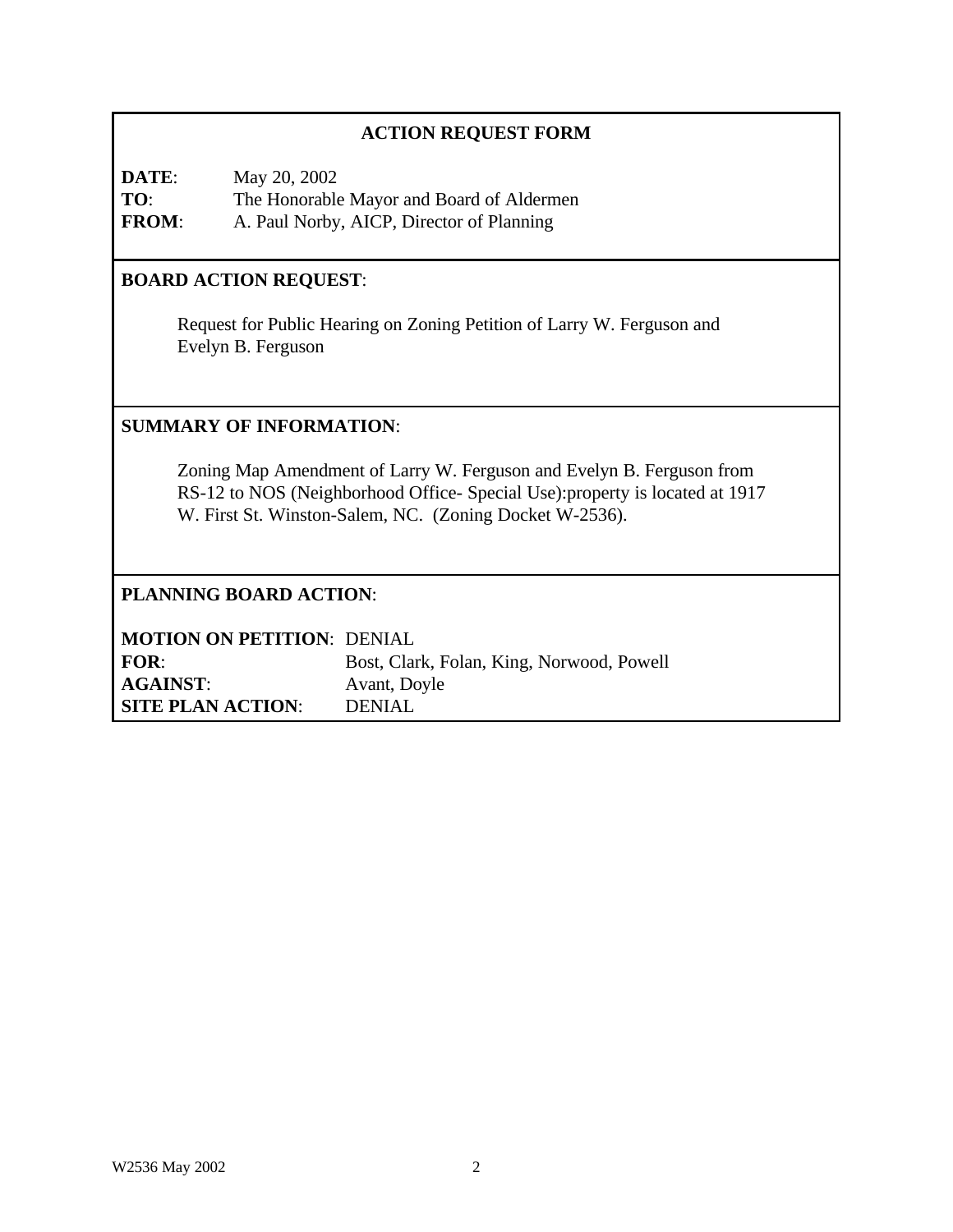# **ACTION REQUEST FORM**

**DATE**: May 20, 2002 **TO**: The Honorable Mayor and Board of Aldermen **FROM**: A. Paul Norby, AICP, Director of Planning

# **BOARD ACTION REQUEST**:

Request for Public Hearing on Zoning Petition of Larry W. Ferguson and Evelyn B. Ferguson

## **SUMMARY OF INFORMATION**:

Zoning Map Amendment of Larry W. Ferguson and Evelyn B. Ferguson from RS-12 to NOS (Neighborhood Office- Special Use):property is located at 1917 W. First St. Winston-Salem, NC. (Zoning Docket W-2536).

## **PLANNING BOARD ACTION**:

| <b>MOTION ON PETITION: DENIAL</b> |                                           |
|-----------------------------------|-------------------------------------------|
| <b>FOR:</b>                       | Bost, Clark, Folan, King, Norwood, Powell |
| <b>AGAINST:</b>                   | Avant, Doyle                              |
| <b>SITE PLAN ACTION:</b>          | DENIAL                                    |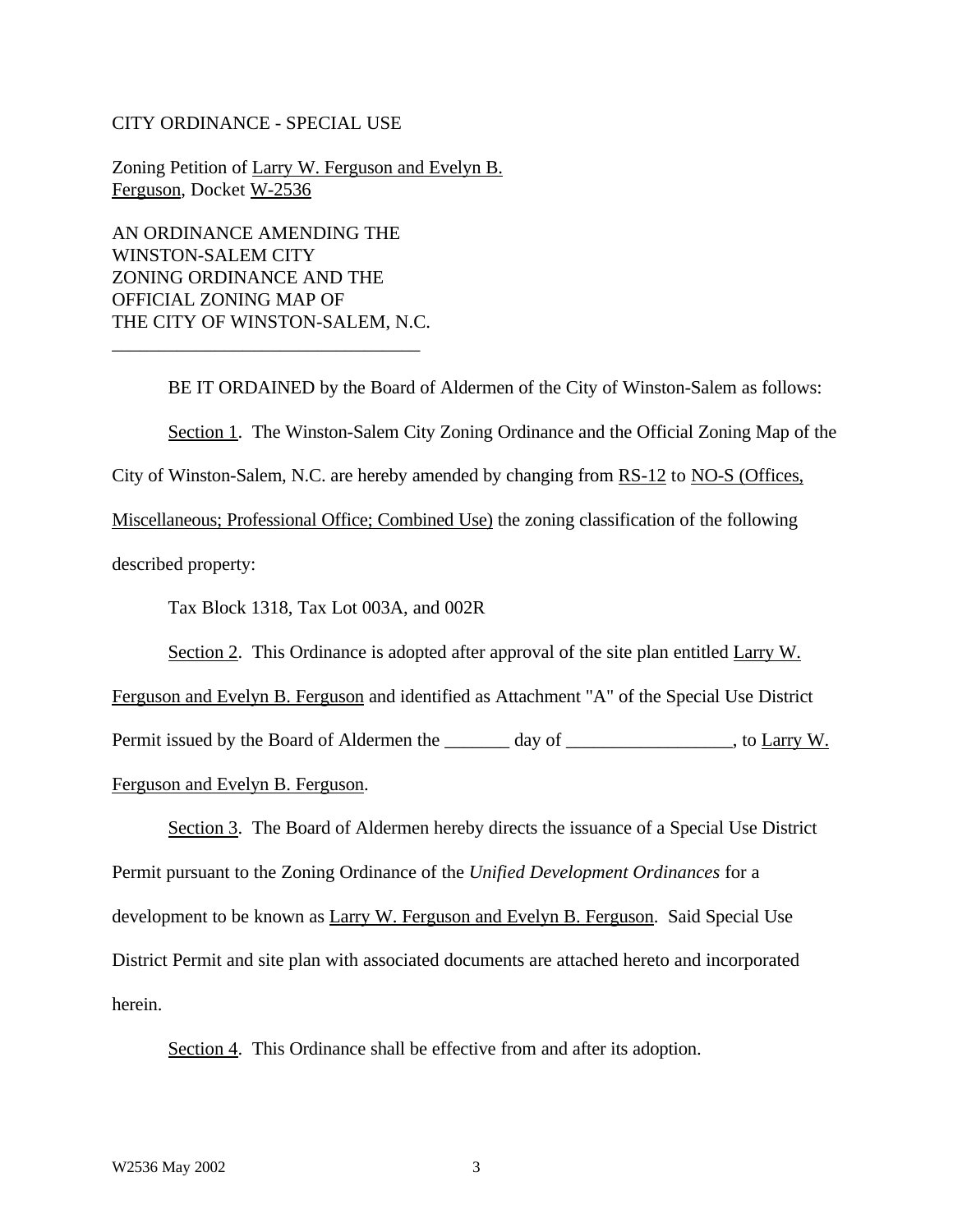#### CITY ORDINANCE - SPECIAL USE

Zoning Petition of Larry W. Ferguson and Evelyn B. Ferguson, Docket W-2536

AN ORDINANCE AMENDING THE WINSTON-SALEM CITY ZONING ORDINANCE AND THE OFFICIAL ZONING MAP OF THE CITY OF WINSTON-SALEM, N.C.

\_\_\_\_\_\_\_\_\_\_\_\_\_\_\_\_\_\_\_\_\_\_\_\_\_\_\_\_\_\_\_\_\_

BE IT ORDAINED by the Board of Aldermen of the City of Winston-Salem as follows: Section 1. The Winston-Salem City Zoning Ordinance and the Official Zoning Map of the City of Winston-Salem, N.C. are hereby amended by changing from RS-12 to NO-S (Offices, Miscellaneous; Professional Office; Combined Use) the zoning classification of the following described property: Tax Block 1318, Tax Lot 003A, and 002R

Section 2. This Ordinance is adopted after approval of the site plan entitled Larry W.

Ferguson and Evelyn B. Ferguson and identified as Attachment "A" of the Special Use District Permit issued by the Board of Aldermen the \_\_\_\_\_\_\_ day of \_\_\_\_\_\_\_\_\_\_\_\_\_\_\_\_, to Larry W. Ferguson and Evelyn B. Ferguson.

Section 3. The Board of Aldermen hereby directs the issuance of a Special Use District Permit pursuant to the Zoning Ordinance of the *Unified Development Ordinances* for a development to be known as Larry W. Ferguson and Evelyn B. Ferguson. Said Special Use District Permit and site plan with associated documents are attached hereto and incorporated herein.

Section 4. This Ordinance shall be effective from and after its adoption.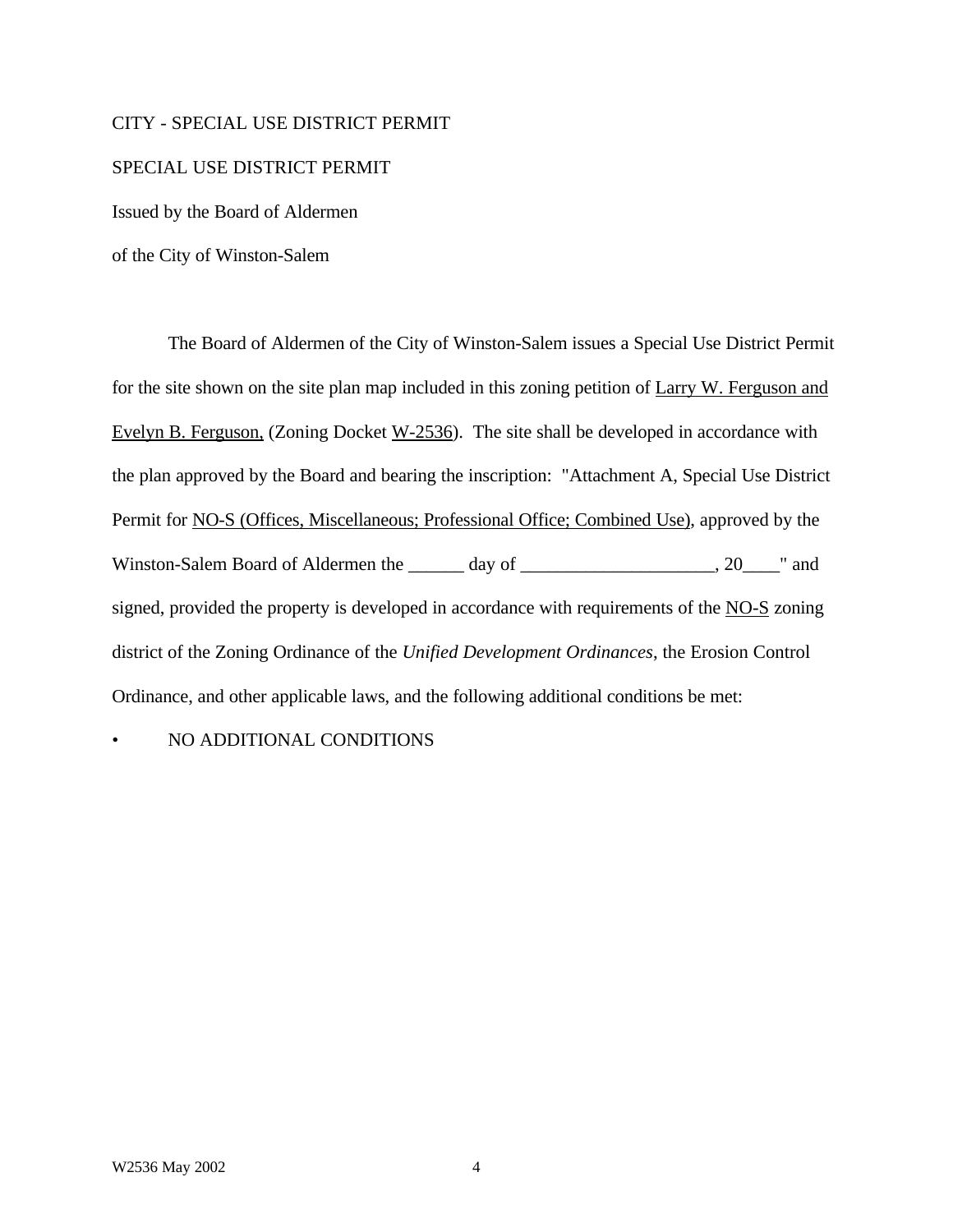### CITY - SPECIAL USE DISTRICT PERMIT

### SPECIAL USE DISTRICT PERMIT

Issued by the Board of Aldermen

of the City of Winston-Salem

The Board of Aldermen of the City of Winston-Salem issues a Special Use District Permit for the site shown on the site plan map included in this zoning petition of Larry W. Ferguson and Evelyn B. Ferguson, (Zoning Docket W-2536). The site shall be developed in accordance with the plan approved by the Board and bearing the inscription: "Attachment A, Special Use District Permit for NO-S (Offices, Miscellaneous; Professional Office; Combined Use), approved by the Winston-Salem Board of Aldermen the \_\_\_\_\_\_ day of \_\_\_\_\_\_\_\_\_\_\_\_\_\_\_\_\_\_, 20\_\_\_\_" and signed, provided the property is developed in accordance with requirements of the NO-S zoning district of the Zoning Ordinance of the *Unified Development Ordinances*, the Erosion Control Ordinance, and other applicable laws, and the following additional conditions be met:

• NO ADDITIONAL CONDITIONS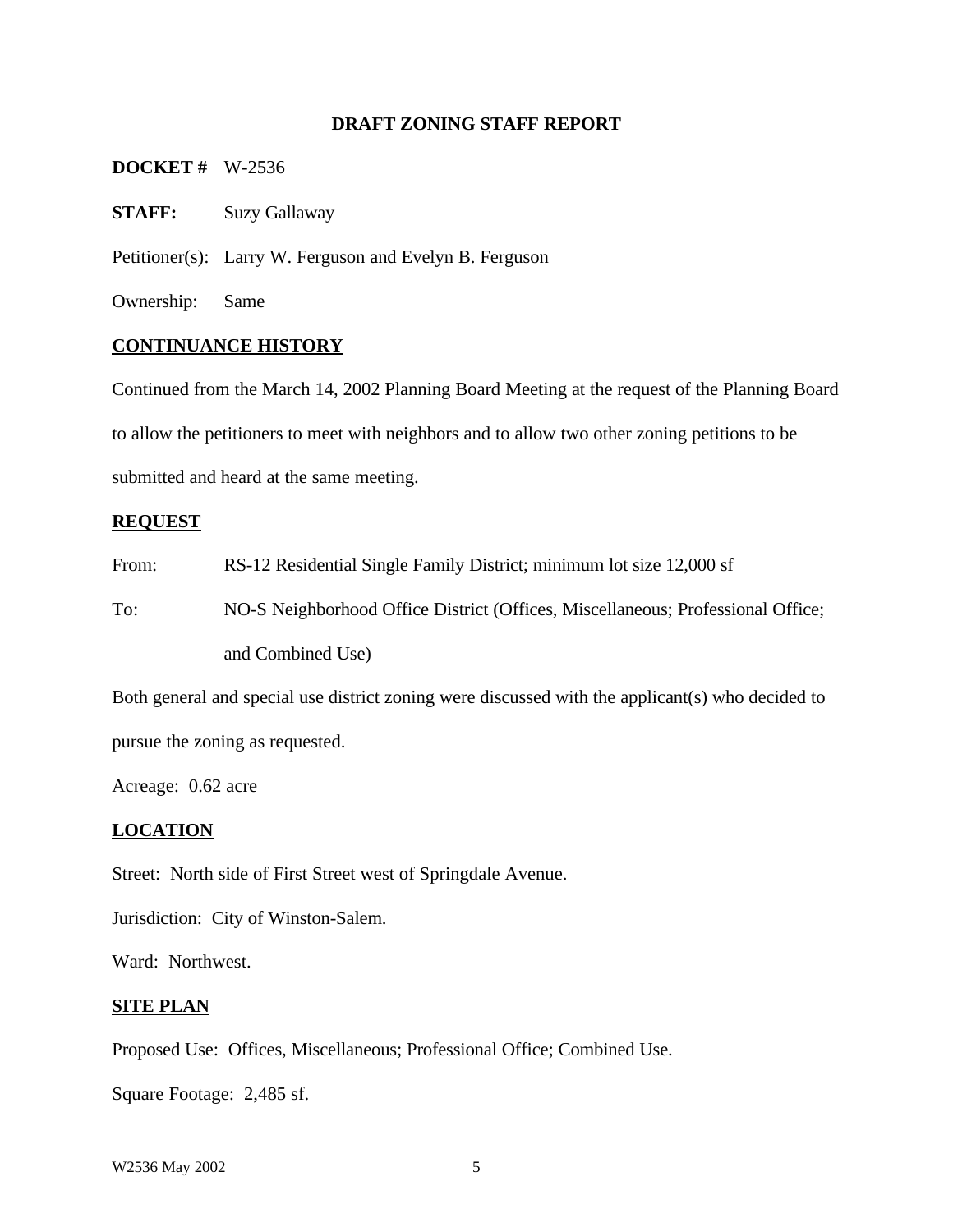## **DRAFT ZONING STAFF REPORT**

#### **DOCKET #** W-2536

**STAFF:** Suzy Gallaway

Petitioner(s): Larry W. Ferguson and Evelyn B. Ferguson

Ownership: Same

### **CONTINUANCE HISTORY**

Continued from the March 14, 2002 Planning Board Meeting at the request of the Planning Board to allow the petitioners to meet with neighbors and to allow two other zoning petitions to be submitted and heard at the same meeting.

### **REQUEST**

From: RS-12 Residential Single Family District; minimum lot size 12,000 sf

To: NO-S Neighborhood Office District (Offices, Miscellaneous; Professional Office; and Combined Use)

Both general and special use district zoning were discussed with the applicant(s) who decided to pursue the zoning as requested.

Acreage: 0.62 acre

#### **LOCATION**

Street: North side of First Street west of Springdale Avenue.

Jurisdiction: City of Winston-Salem.

Ward: Northwest.

#### **SITE PLAN**

Proposed Use: Offices, Miscellaneous; Professional Office; Combined Use.

Square Footage: 2,485 sf.

W2536 May 2002 5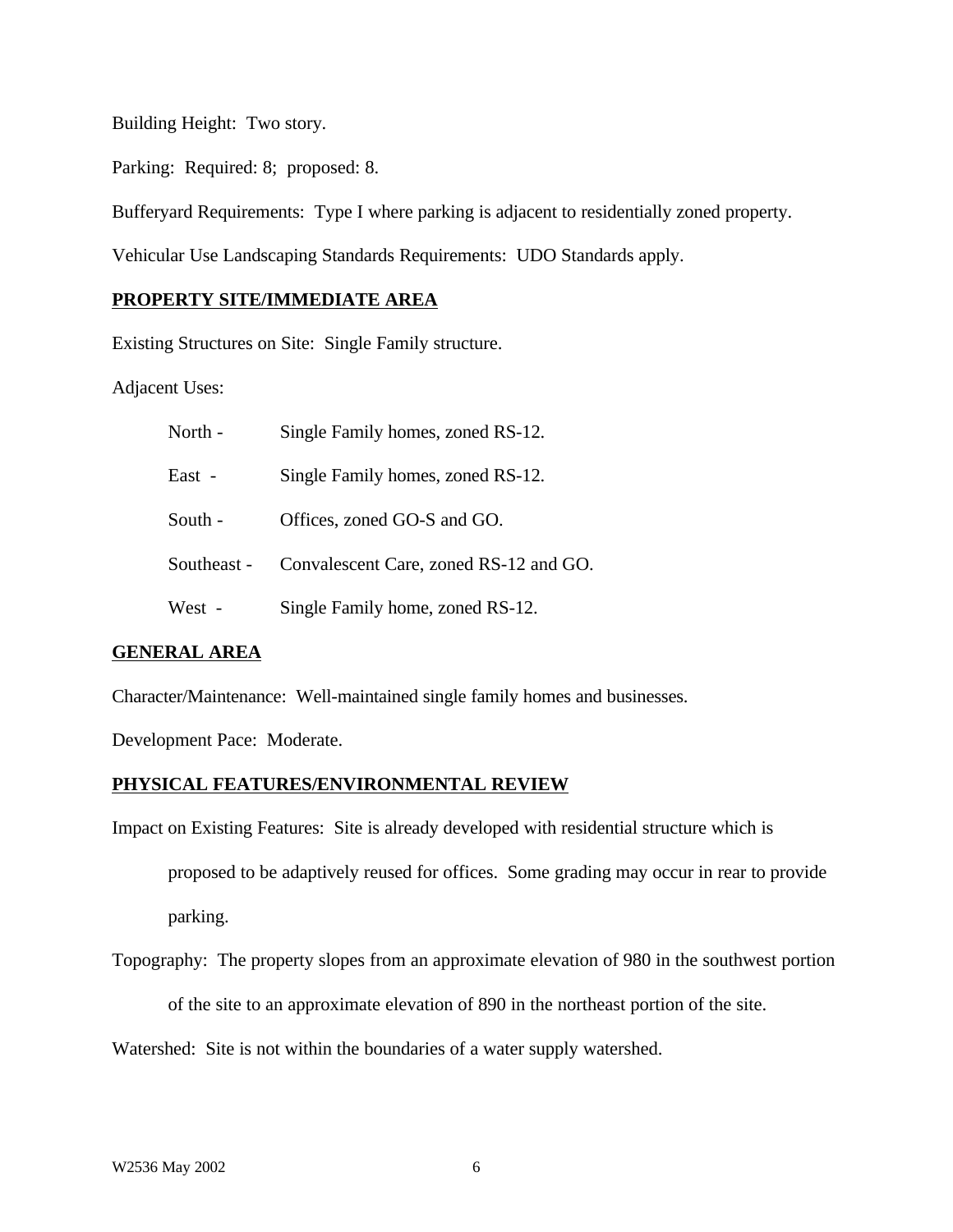Building Height: Two story.

Parking: Required: 8; proposed: 8.

Bufferyard Requirements: Type I where parking is adjacent to residentially zoned property.

Vehicular Use Landscaping Standards Requirements: UDO Standards apply.

## **PROPERTY SITE/IMMEDIATE AREA**

Existing Structures on Site: Single Family structure.

Adjacent Uses:

| North -     | Single Family homes, zoned RS-12.      |
|-------------|----------------------------------------|
| East -      | Single Family homes, zoned RS-12.      |
| South -     | Offices, zoned GO-S and GO.            |
| Southeast - | Convalescent Care, zoned RS-12 and GO. |
| West -      | Single Family home, zoned RS-12.       |

### **GENERAL AREA**

Character/Maintenance: Well-maintained single family homes and businesses.

Development Pace: Moderate.

#### **PHYSICAL FEATURES/ENVIRONMENTAL REVIEW**

Impact on Existing Features: Site is already developed with residential structure which is proposed to be adaptively reused for offices. Some grading may occur in rear to provide

parking.

Topography: The property slopes from an approximate elevation of 980 in the southwest portion

of the site to an approximate elevation of 890 in the northeast portion of the site.

Watershed: Site is not within the boundaries of a water supply watershed.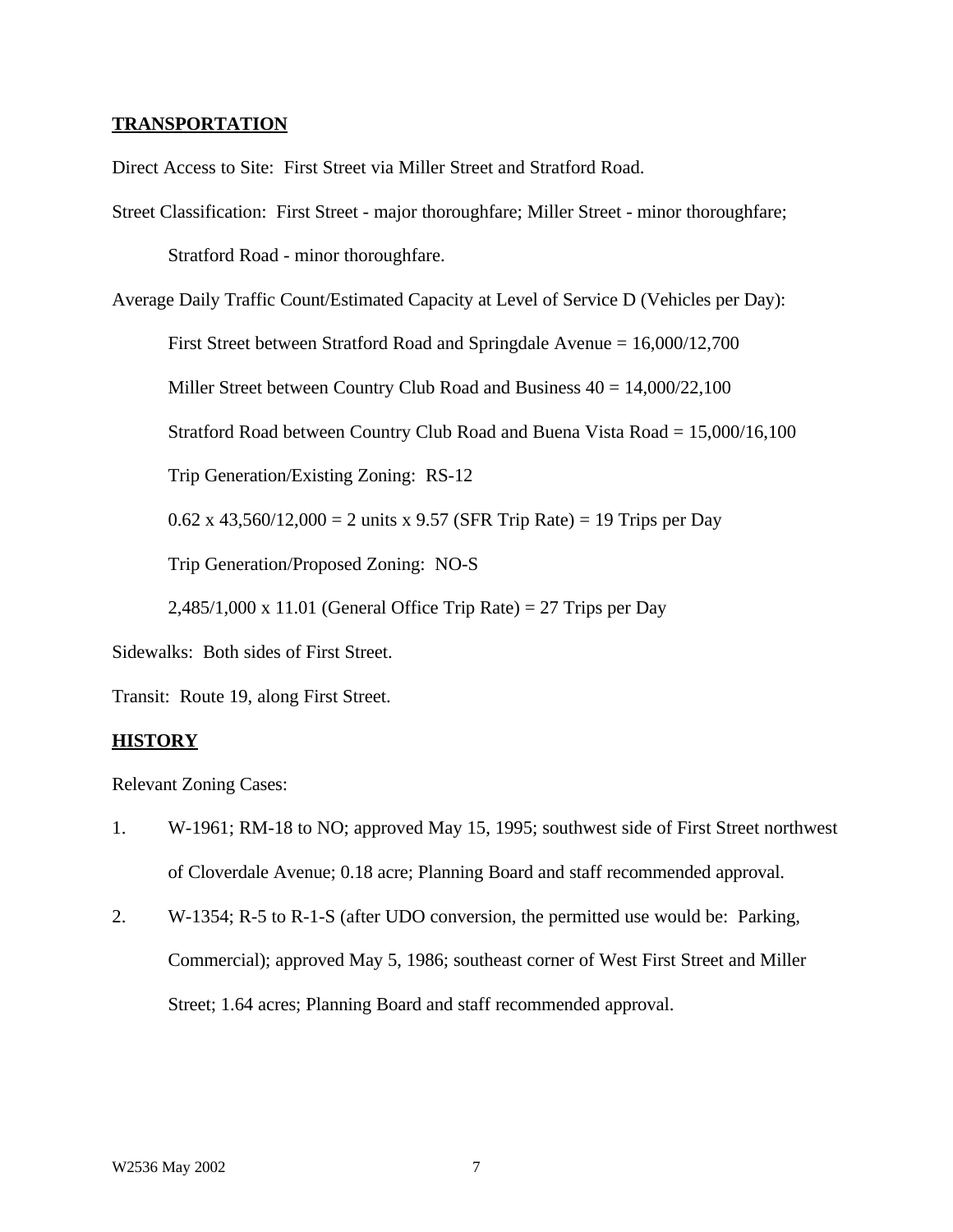### **TRANSPORTATION**

Direct Access to Site: First Street via Miller Street and Stratford Road.

Street Classification: First Street - major thoroughfare; Miller Street - minor thoroughfare; Stratford Road - minor thoroughfare.

Average Daily Traffic Count/Estimated Capacity at Level of Service D (Vehicles per Day):

First Street between Stratford Road and Springdale Avenue = 16,000/12,700

Miller Street between Country Club Road and Business  $40 = 14,000/22,100$ 

Stratford Road between Country Club Road and Buena Vista Road = 15,000/16,100

Trip Generation/Existing Zoning: RS-12

0.62 x 43,560/12,000 = 2 units x 9.57 (SFR Trip Rate) = 19 Trips per Day

Trip Generation/Proposed Zoning: NO-S

 $2,485/1,000 \text{ x } 11.01$  (General Office Trip Rate) = 27 Trips per Day

Sidewalks: Both sides of First Street.

Transit: Route 19, along First Street.

#### **HISTORY**

Relevant Zoning Cases:

- 1. W-1961; RM-18 to NO; approved May 15, 1995; southwest side of First Street northwest of Cloverdale Avenue; 0.18 acre; Planning Board and staff recommended approval.
- 2. W-1354; R-5 to R-1-S (after UDO conversion, the permitted use would be: Parking, Commercial); approved May 5, 1986; southeast corner of West First Street and Miller Street; 1.64 acres; Planning Board and staff recommended approval.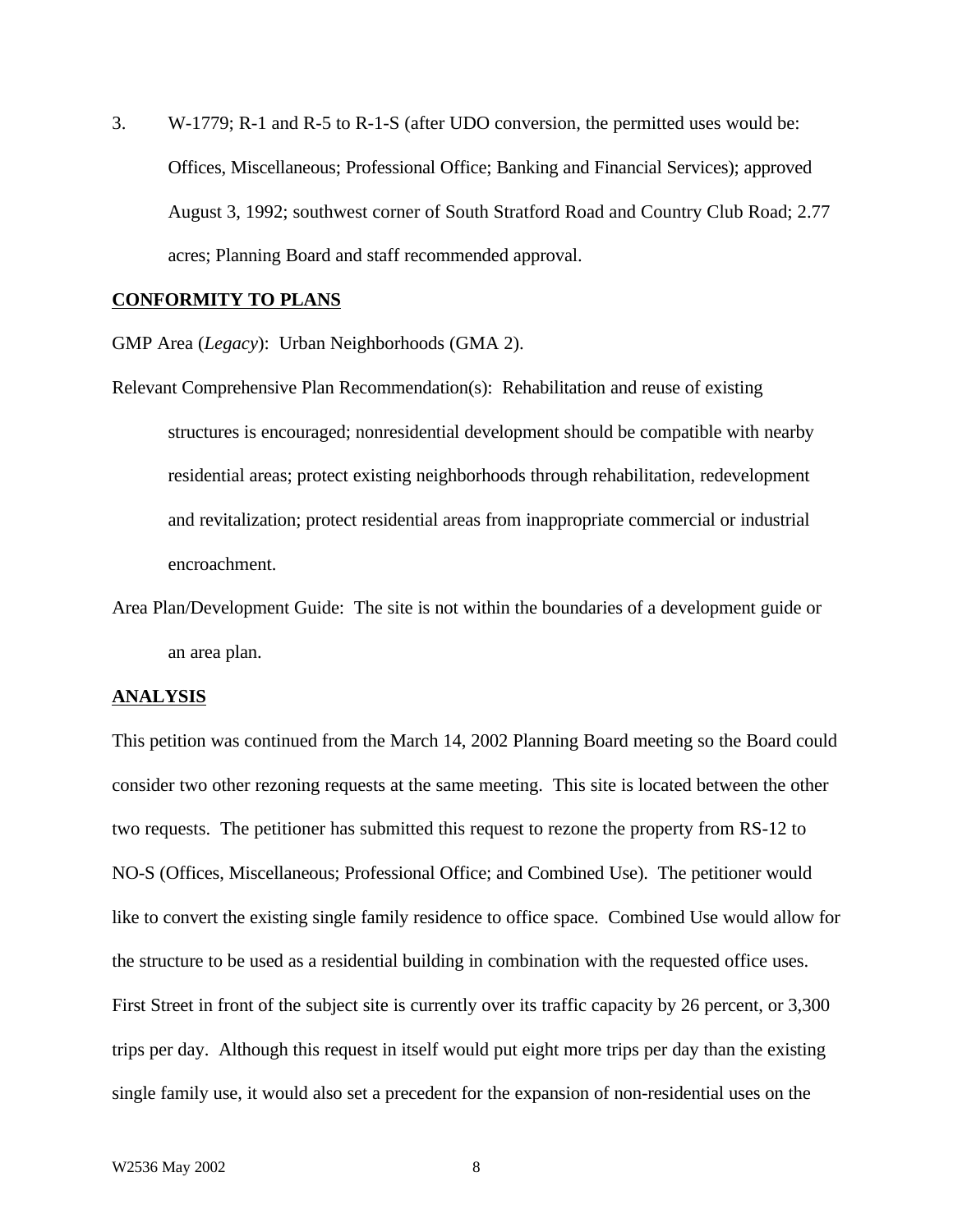3. W-1779; R-1 and R-5 to R-1-S (after UDO conversion, the permitted uses would be: Offices, Miscellaneous; Professional Office; Banking and Financial Services); approved August 3, 1992; southwest corner of South Stratford Road and Country Club Road; 2.77 acres; Planning Board and staff recommended approval.

### **CONFORMITY TO PLANS**

GMP Area (*Legacy*): Urban Neighborhoods (GMA 2).

Relevant Comprehensive Plan Recommendation(s): Rehabilitation and reuse of existing structures is encouraged; nonresidential development should be compatible with nearby residential areas; protect existing neighborhoods through rehabilitation, redevelopment and revitalization; protect residential areas from inappropriate commercial or industrial encroachment.

Area Plan/Development Guide: The site is not within the boundaries of a development guide or an area plan.

#### **ANALYSIS**

This petition was continued from the March 14, 2002 Planning Board meeting so the Board could consider two other rezoning requests at the same meeting. This site is located between the other two requests. The petitioner has submitted this request to rezone the property from RS-12 to NO-S (Offices, Miscellaneous; Professional Office; and Combined Use). The petitioner would like to convert the existing single family residence to office space. Combined Use would allow for the structure to be used as a residential building in combination with the requested office uses. First Street in front of the subject site is currently over its traffic capacity by 26 percent, or 3,300 trips per day. Although this request in itself would put eight more trips per day than the existing single family use, it would also set a precedent for the expansion of non-residential uses on the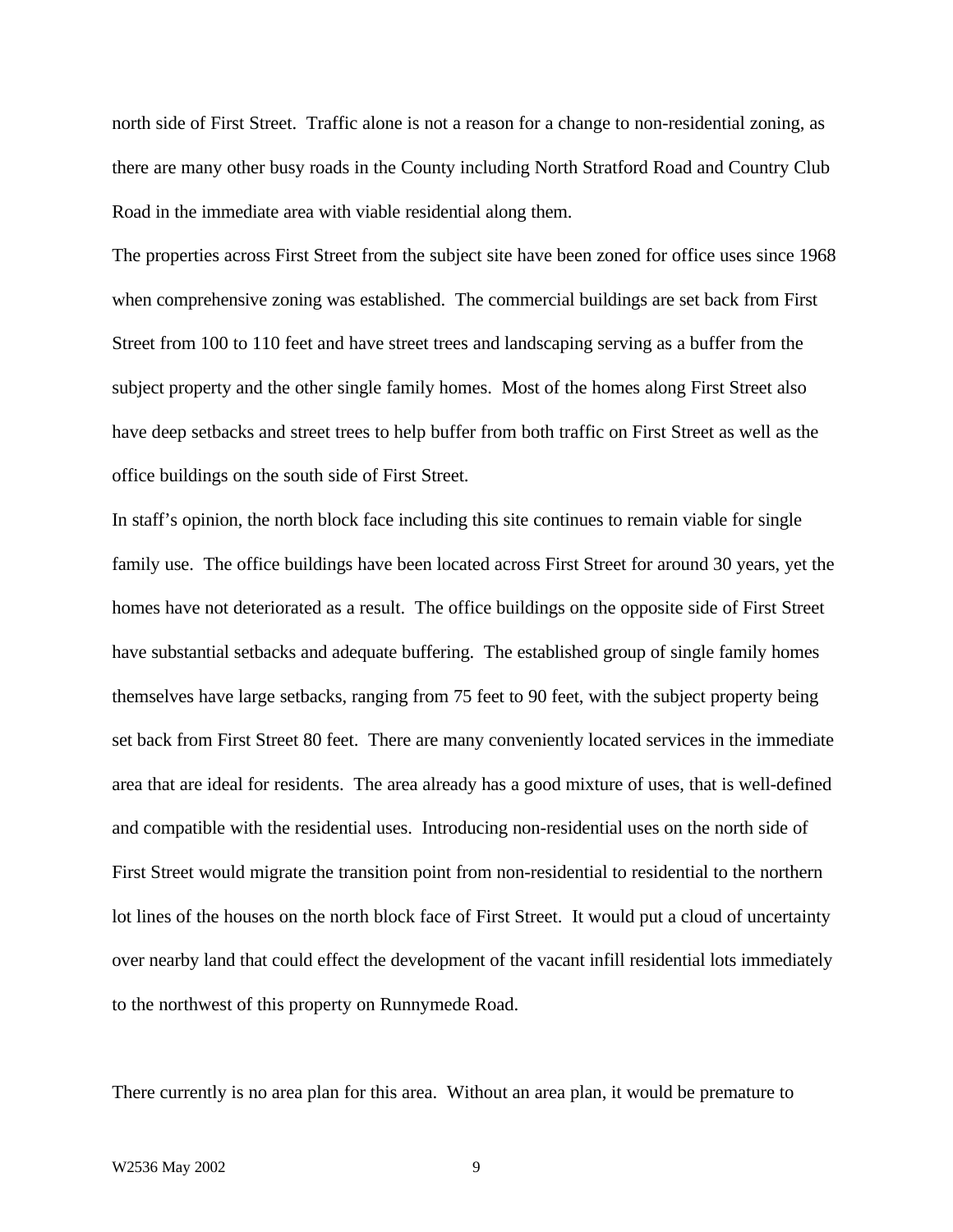north side of First Street. Traffic alone is not a reason for a change to non-residential zoning, as there are many other busy roads in the County including North Stratford Road and Country Club Road in the immediate area with viable residential along them.

The properties across First Street from the subject site have been zoned for office uses since 1968 when comprehensive zoning was established. The commercial buildings are set back from First Street from 100 to 110 feet and have street trees and landscaping serving as a buffer from the subject property and the other single family homes. Most of the homes along First Street also have deep setbacks and street trees to help buffer from both traffic on First Street as well as the office buildings on the south side of First Street.

In staff's opinion, the north block face including this site continues to remain viable for single family use. The office buildings have been located across First Street for around 30 years, yet the homes have not deteriorated as a result. The office buildings on the opposite side of First Street have substantial setbacks and adequate buffering. The established group of single family homes themselves have large setbacks, ranging from 75 feet to 90 feet, with the subject property being set back from First Street 80 feet. There are many conveniently located services in the immediate area that are ideal for residents. The area already has a good mixture of uses, that is well-defined and compatible with the residential uses. Introducing non-residential uses on the north side of First Street would migrate the transition point from non-residential to residential to the northern lot lines of the houses on the north block face of First Street. It would put a cloud of uncertainty over nearby land that could effect the development of the vacant infill residential lots immediately to the northwest of this property on Runnymede Road.

There currently is no area plan for this area. Without an area plan, it would be premature to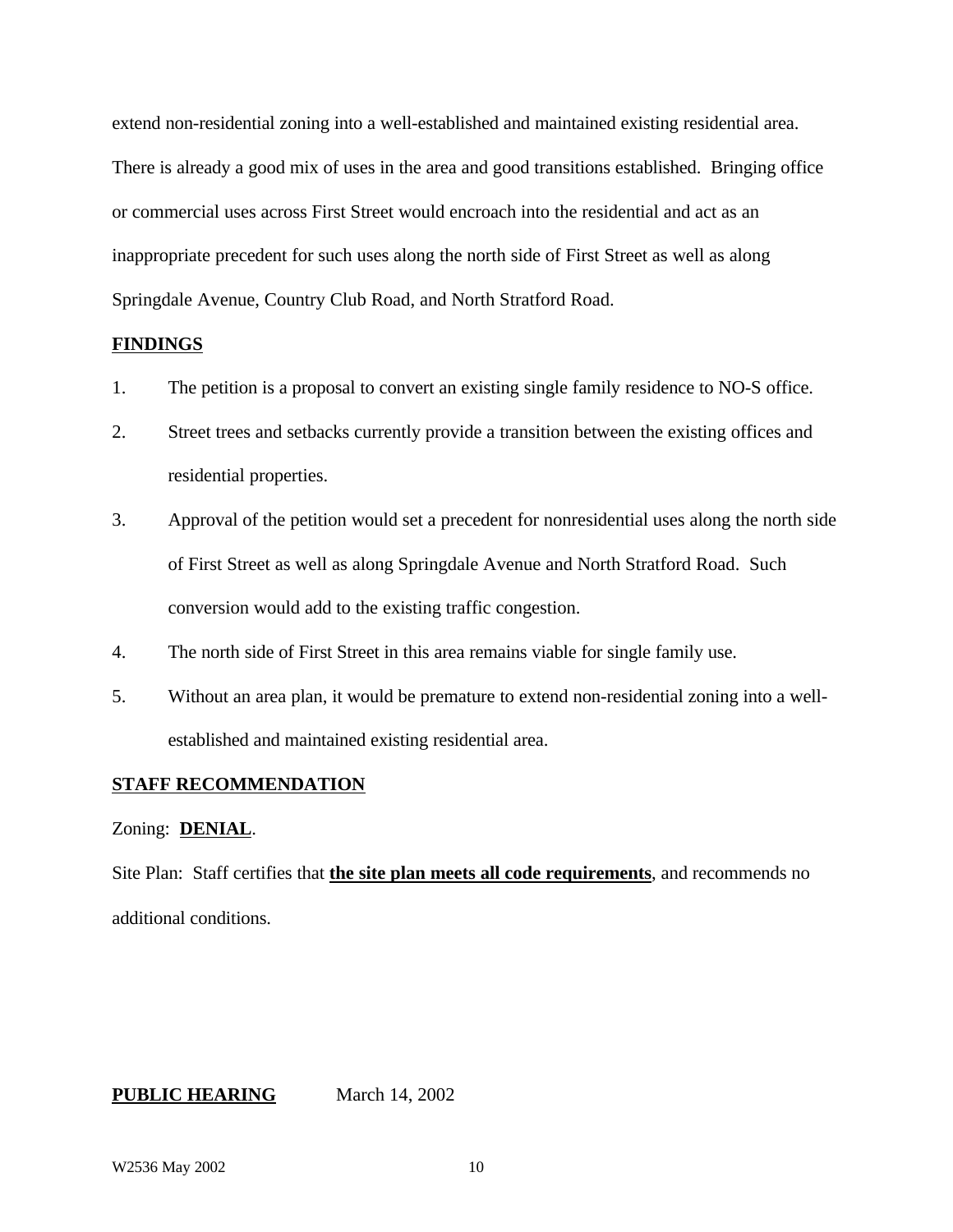extend non-residential zoning into a well-established and maintained existing residential area. There is already a good mix of uses in the area and good transitions established. Bringing office or commercial uses across First Street would encroach into the residential and act as an inappropriate precedent for such uses along the north side of First Street as well as along Springdale Avenue, Country Club Road, and North Stratford Road.

### **FINDINGS**

- 1. The petition is a proposal to convert an existing single family residence to NO-S office.
- 2. Street trees and setbacks currently provide a transition between the existing offices and residential properties.
- 3. Approval of the petition would set a precedent for nonresidential uses along the north side of First Street as well as along Springdale Avenue and North Stratford Road. Such conversion would add to the existing traffic congestion.
- 4. The north side of First Street in this area remains viable for single family use.
- 5. Without an area plan, it would be premature to extend non-residential zoning into a wellestablished and maintained existing residential area.

### **STAFF RECOMMENDATION**

### Zoning: **DENIAL**.

Site Plan: Staff certifies that **the site plan meets all code requirements**, and recommends no additional conditions.

**PUBLIC HEARING** March 14, 2002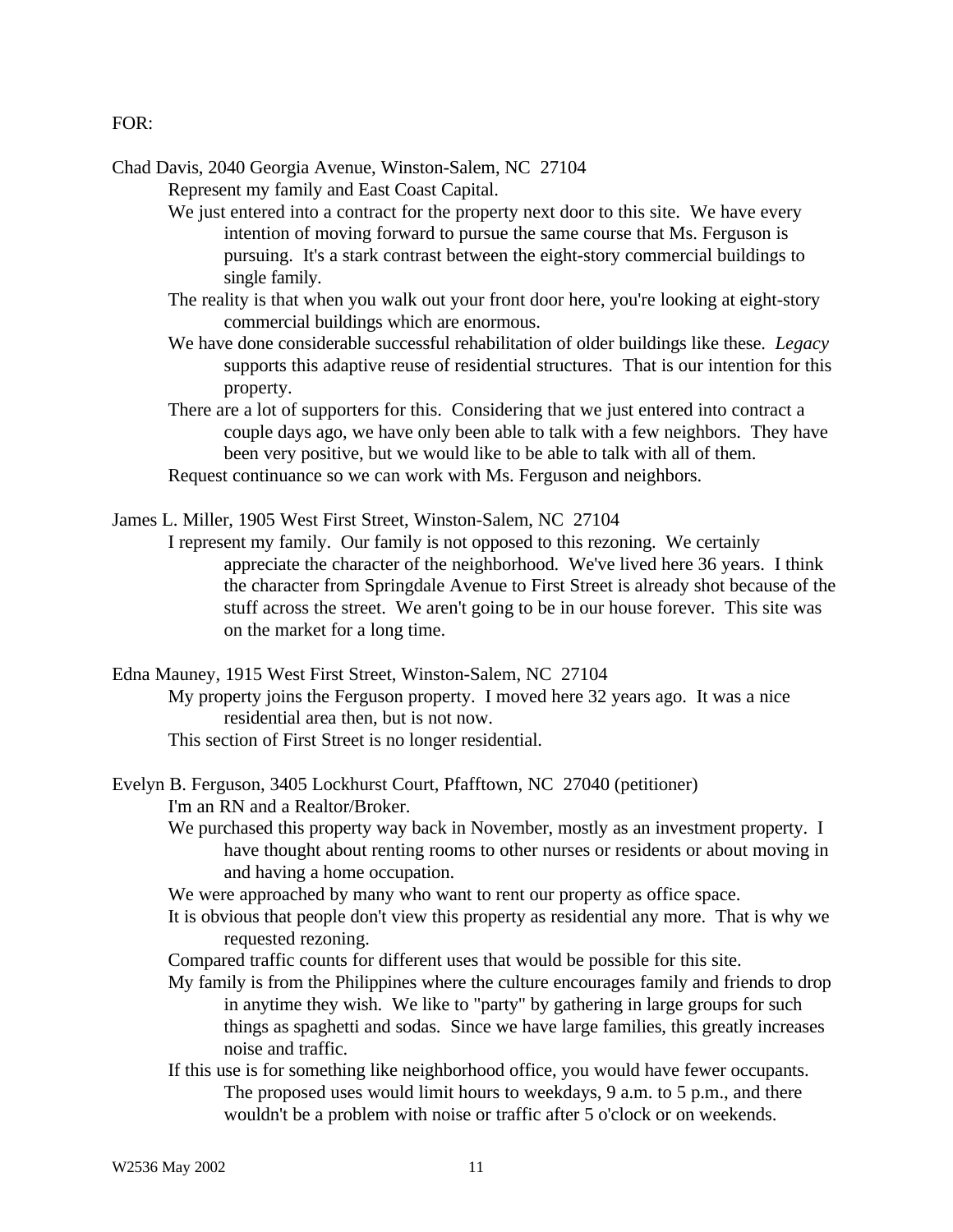### FOR:

Chad Davis, 2040 Georgia Avenue, Winston-Salem, NC 27104 Represent my family and East Coast Capital.

- We just entered into a contract for the property next door to this site. We have every intention of moving forward to pursue the same course that Ms. Ferguson is pursuing. It's a stark contrast between the eight-story commercial buildings to single family.
- The reality is that when you walk out your front door here, you're looking at eight-story commercial buildings which are enormous.
- We have done considerable successful rehabilitation of older buildings like these. *Legacy* supports this adaptive reuse of residential structures. That is our intention for this property.
- There are a lot of supporters for this. Considering that we just entered into contract a couple days ago, we have only been able to talk with a few neighbors. They have been very positive, but we would like to be able to talk with all of them. Request continuance so we can work with Ms. Ferguson and neighbors.
- James L. Miller, 1905 West First Street, Winston-Salem, NC 27104
	- I represent my family. Our family is not opposed to this rezoning. We certainly appreciate the character of the neighborhood. We've lived here 36 years. I think the character from Springdale Avenue to First Street is already shot because of the stuff across the street. We aren't going to be in our house forever. This site was on the market for a long time.
- Edna Mauney, 1915 West First Street, Winston-Salem, NC 27104 My property joins the Ferguson property. I moved here 32 years ago. It was a nice residential area then, but is not now.
	- This section of First Street is no longer residential.
- Evelyn B. Ferguson, 3405 Lockhurst Court, Pfafftown, NC 27040 (petitioner) I'm an RN and a Realtor/Broker.
	- We purchased this property way back in November, mostly as an investment property. I have thought about renting rooms to other nurses or residents or about moving in and having a home occupation.
	- We were approached by many who want to rent our property as office space.
	- It is obvious that people don't view this property as residential any more. That is why we requested rezoning.
	- Compared traffic counts for different uses that would be possible for this site.
	- My family is from the Philippines where the culture encourages family and friends to drop in anytime they wish. We like to "party" by gathering in large groups for such things as spaghetti and sodas. Since we have large families, this greatly increases noise and traffic.
	- If this use is for something like neighborhood office, you would have fewer occupants. The proposed uses would limit hours to weekdays, 9 a.m. to 5 p.m., and there wouldn't be a problem with noise or traffic after 5 o'clock or on weekends.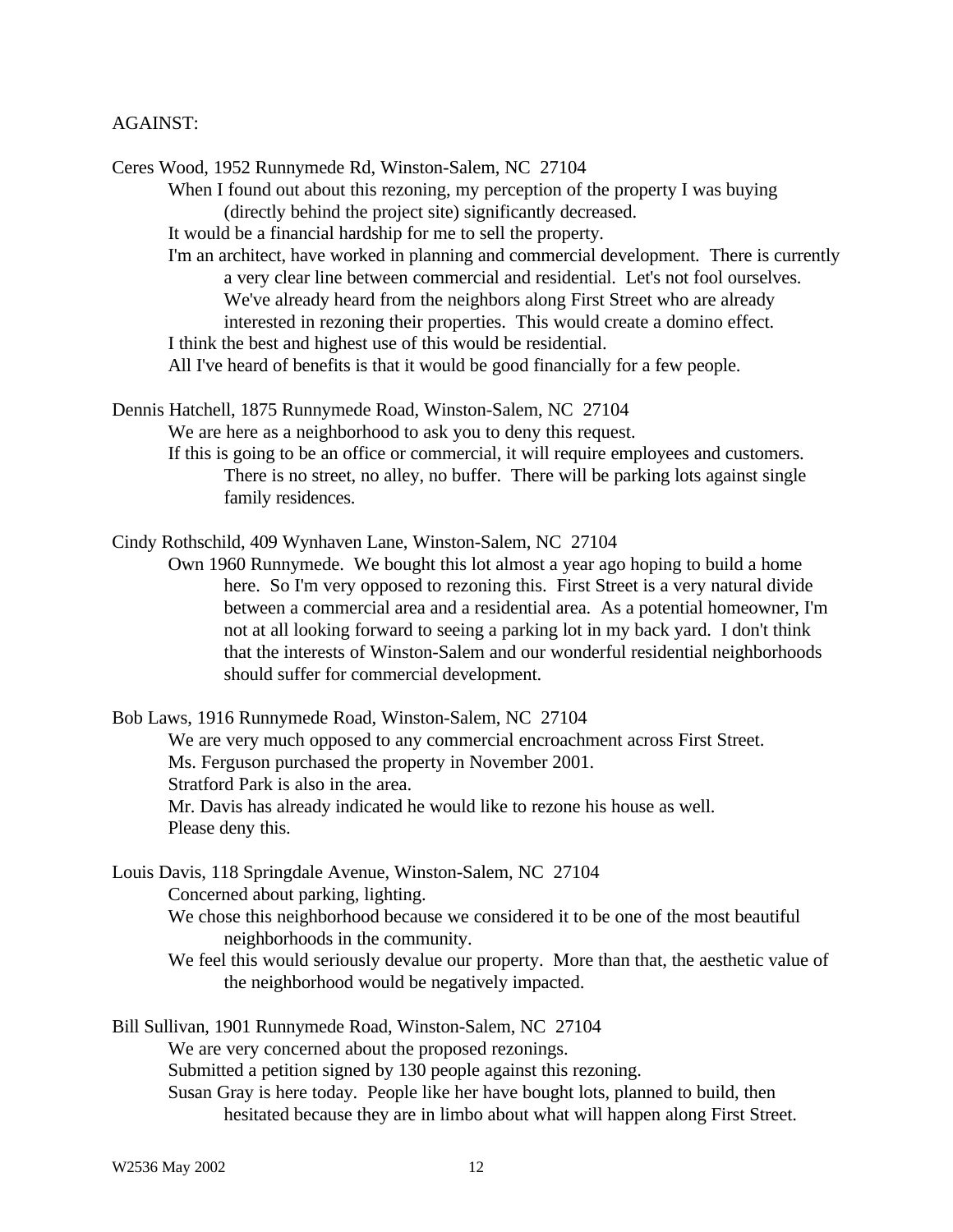## AGAINST:

Ceres Wood, 1952 Runnymede Rd, Winston-Salem, NC 27104 When I found out about this rezoning, my perception of the property I was buying (directly behind the project site) significantly decreased. It would be a financial hardship for me to sell the property. I'm an architect, have worked in planning and commercial development. There is currently a very clear line between commercial and residential. Let's not fool ourselves. We've already heard from the neighbors along First Street who are already interested in rezoning their properties. This would create a domino effect. I think the best and highest use of this would be residential. All I've heard of benefits is that it would be good financially for a few people. Dennis Hatchell, 1875 Runnymede Road, Winston-Salem, NC 27104 We are here as a neighborhood to ask you to deny this request. If this is going to be an office or commercial, it will require employees and customers.

There is no street, no alley, no buffer. There will be parking lots against single family residences.

Cindy Rothschild, 409 Wynhaven Lane, Winston-Salem, NC 27104

Own 1960 Runnymede. We bought this lot almost a year ago hoping to build a home here. So I'm very opposed to rezoning this. First Street is a very natural divide between a commercial area and a residential area. As a potential homeowner, I'm not at all looking forward to seeing a parking lot in my back yard. I don't think that the interests of Winston-Salem and our wonderful residential neighborhoods should suffer for commercial development.

Bob Laws, 1916 Runnymede Road, Winston-Salem, NC 27104 We are very much opposed to any commercial encroachment across First Street. Ms. Ferguson purchased the property in November 2001. Stratford Park is also in the area. Mr. Davis has already indicated he would like to rezone his house as well. Please deny this.

Louis Davis, 118 Springdale Avenue, Winston-Salem, NC 27104 Concerned about parking, lighting.

We chose this neighborhood because we considered it to be one of the most beautiful neighborhoods in the community.

We feel this would seriously devalue our property. More than that, the aesthetic value of the neighborhood would be negatively impacted.

Bill Sullivan, 1901 Runnymede Road, Winston-Salem, NC 27104 We are very concerned about the proposed rezonings. Submitted a petition signed by 130 people against this rezoning. Susan Gray is here today. People like her have bought lots, planned to build, then hesitated because they are in limbo about what will happen along First Street.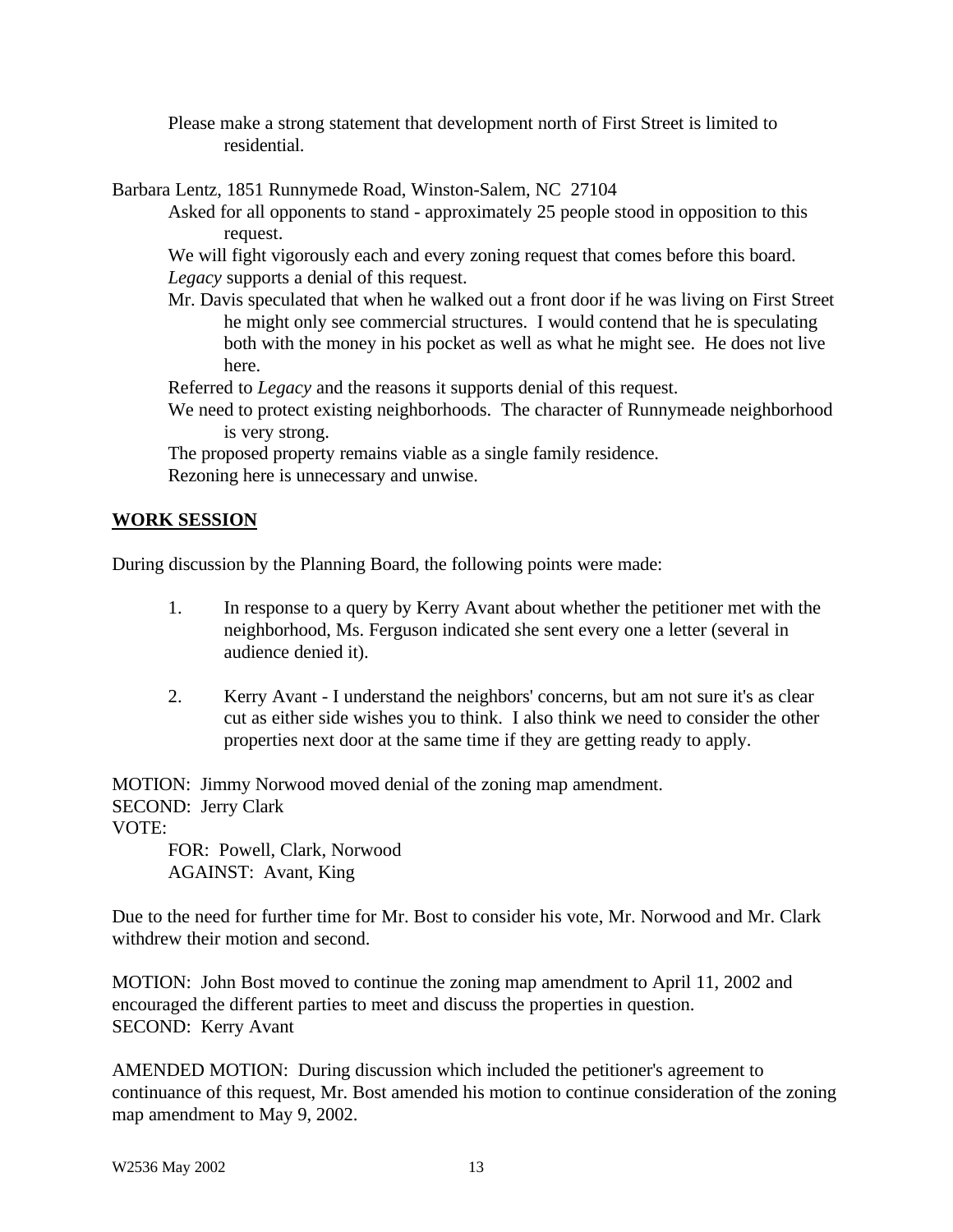Please make a strong statement that development north of First Street is limited to residential.

Barbara Lentz, 1851 Runnymede Road, Winston-Salem, NC 27104

Asked for all opponents to stand - approximately 25 people stood in opposition to this request.

We will fight vigorously each and every zoning request that comes before this board. *Legacy* supports a denial of this request.

Mr. Davis speculated that when he walked out a front door if he was living on First Street he might only see commercial structures. I would contend that he is speculating both with the money in his pocket as well as what he might see. He does not live here.

Referred to *Legacy* and the reasons it supports denial of this request.

We need to protect existing neighborhoods. The character of Runnymeade neighborhood is very strong.

The proposed property remains viable as a single family residence. Rezoning here is unnecessary and unwise.

# **WORK SESSION**

During discussion by the Planning Board, the following points were made:

- 1. In response to a query by Kerry Avant about whether the petitioner met with the neighborhood, Ms. Ferguson indicated she sent every one a letter (several in audience denied it).
- 2. Kerry Avant I understand the neighbors' concerns, but am not sure it's as clear cut as either side wishes you to think. I also think we need to consider the other properties next door at the same time if they are getting ready to apply.

MOTION: Jimmy Norwood moved denial of the zoning map amendment. SECOND: Jerry Clark VOTE:

FOR: Powell, Clark, Norwood AGAINST: Avant, King

Due to the need for further time for Mr. Bost to consider his vote, Mr. Norwood and Mr. Clark withdrew their motion and second.

MOTION: John Bost moved to continue the zoning map amendment to April 11, 2002 and encouraged the different parties to meet and discuss the properties in question. SECOND: Kerry Avant

AMENDED MOTION: During discussion which included the petitioner's agreement to continuance of this request, Mr. Bost amended his motion to continue consideration of the zoning map amendment to May 9, 2002.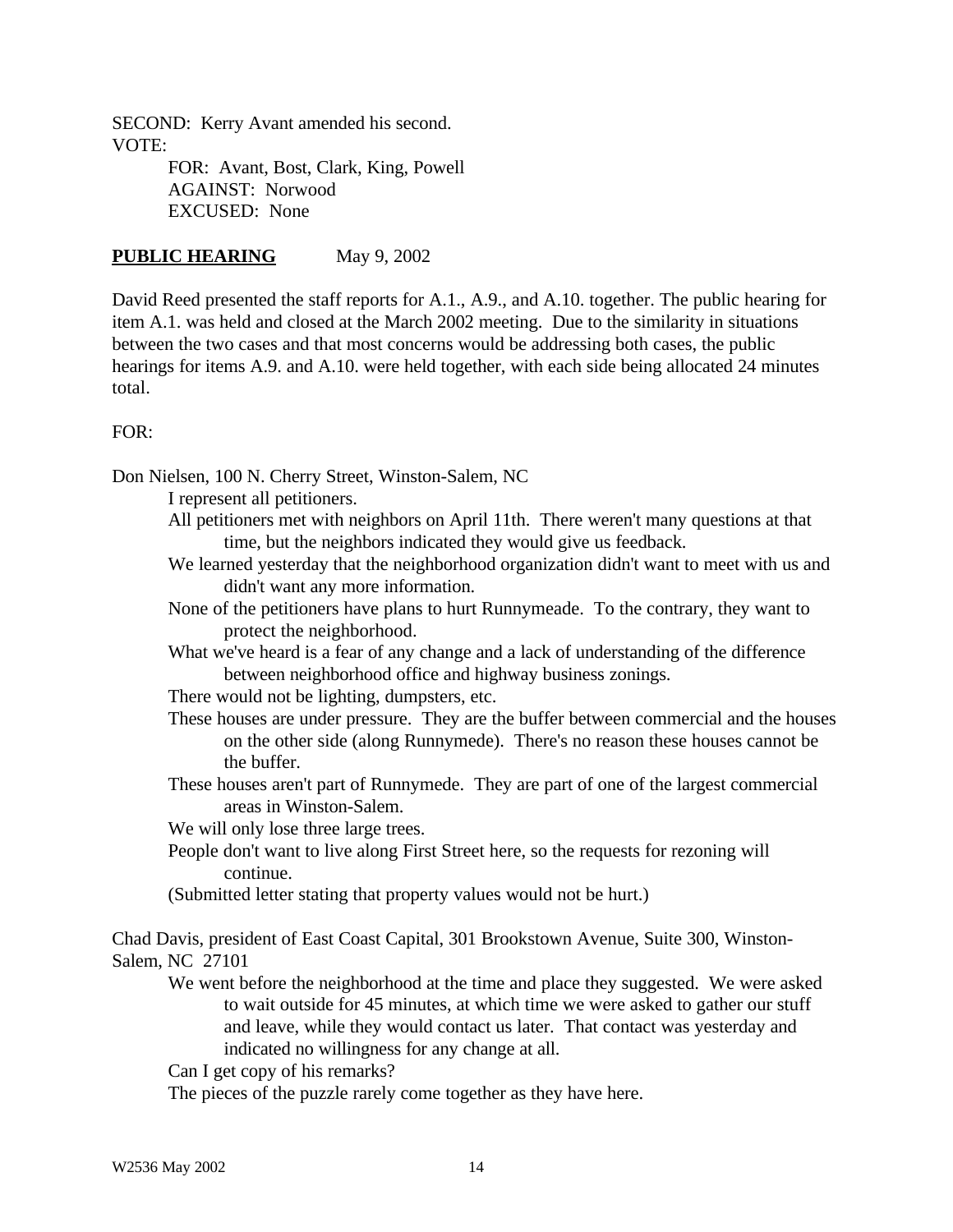SECOND: Kerry Avant amended his second. VOTE: FOR: Avant, Bost, Clark, King, Powell AGAINST: Norwood

EXCUSED: None

# **PUBLIC HEARING** May 9, 2002

David Reed presented the staff reports for A.1., A.9., and A.10. together. The public hearing for item A.1. was held and closed at the March 2002 meeting. Due to the similarity in situations between the two cases and that most concerns would be addressing both cases, the public hearings for items A.9. and A.10. were held together, with each side being allocated 24 minutes total.

## $FOR:$

Don Nielsen, 100 N. Cherry Street, Winston-Salem, NC

I represent all petitioners.

- All petitioners met with neighbors on April 11th. There weren't many questions at that time, but the neighbors indicated they would give us feedback.
- We learned yesterday that the neighborhood organization didn't want to meet with us and didn't want any more information.
- None of the petitioners have plans to hurt Runnymeade. To the contrary, they want to protect the neighborhood.
- What we've heard is a fear of any change and a lack of understanding of the difference between neighborhood office and highway business zonings.
- There would not be lighting, dumpsters, etc.
- These houses are under pressure. They are the buffer between commercial and the houses on the other side (along Runnymede). There's no reason these houses cannot be the buffer.
- These houses aren't part of Runnymede. They are part of one of the largest commercial areas in Winston-Salem.
- We will only lose three large trees.
- People don't want to live along First Street here, so the requests for rezoning will continue.

(Submitted letter stating that property values would not be hurt.)

Chad Davis, president of East Coast Capital, 301 Brookstown Avenue, Suite 300, Winston-Salem, NC 27101

We went before the neighborhood at the time and place they suggested. We were asked to wait outside for 45 minutes, at which time we were asked to gather our stuff and leave, while they would contact us later. That contact was yesterday and indicated no willingness for any change at all.

Can I get copy of his remarks?

The pieces of the puzzle rarely come together as they have here.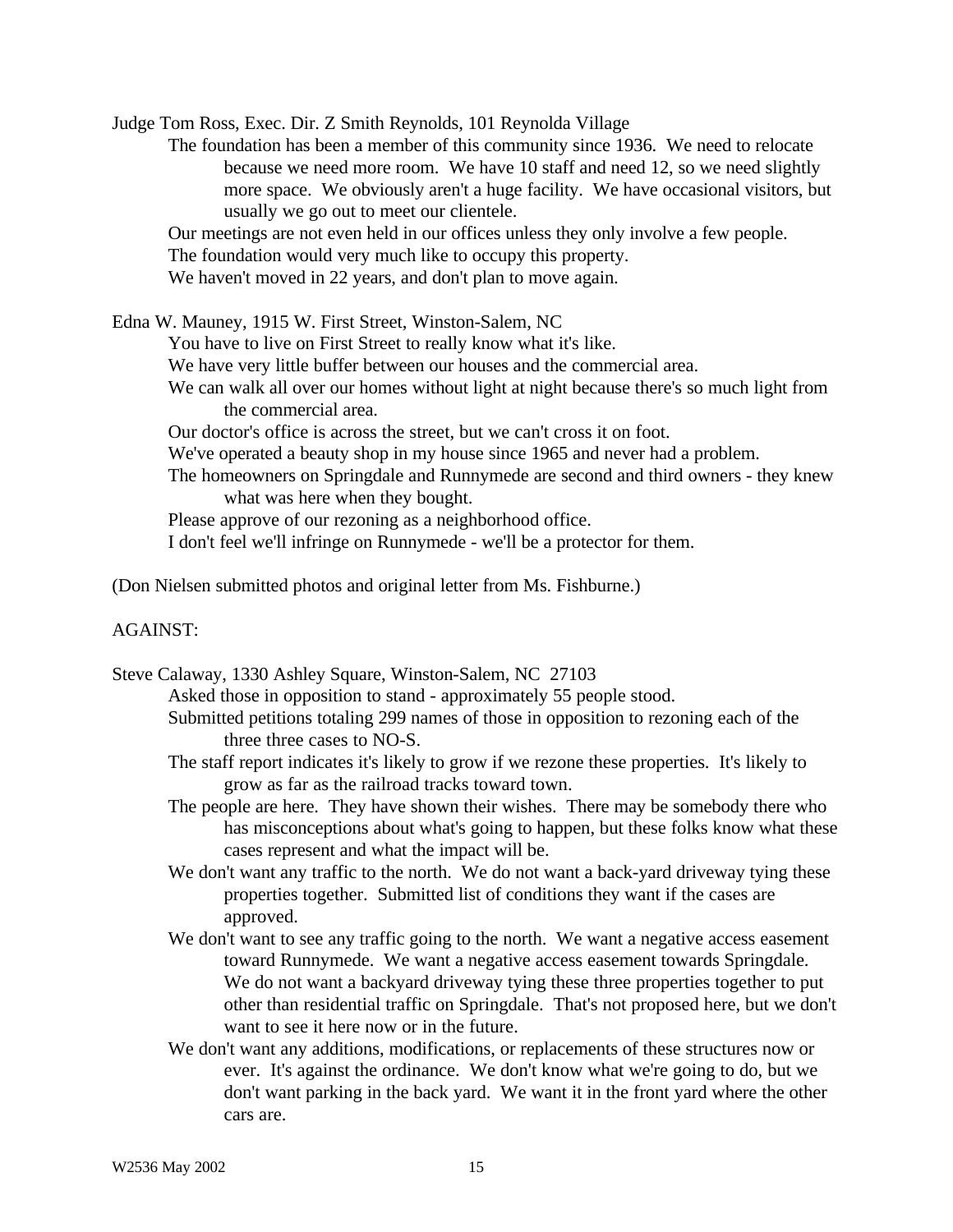Judge Tom Ross, Exec. Dir. Z Smith Reynolds, 101 Reynolda Village

The foundation has been a member of this community since 1936. We need to relocate because we need more room. We have 10 staff and need 12, so we need slightly more space. We obviously aren't a huge facility. We have occasional visitors, but usually we go out to meet our clientele.

Our meetings are not even held in our offices unless they only involve a few people.

The foundation would very much like to occupy this property.

We haven't moved in 22 years, and don't plan to move again.

Edna W. Mauney, 1915 W. First Street, Winston-Salem, NC

You have to live on First Street to really know what it's like.

We have very little buffer between our houses and the commercial area.

We can walk all over our homes without light at night because there's so much light from the commercial area.

Our doctor's office is across the street, but we can't cross it on foot.

We've operated a beauty shop in my house since 1965 and never had a problem.

The homeowners on Springdale and Runnymede are second and third owners - they knew what was here when they bought.

Please approve of our rezoning as a neighborhood office.

I don't feel we'll infringe on Runnymede - we'll be a protector for them.

(Don Nielsen submitted photos and original letter from Ms. Fishburne.)

### AGAINST:

Steve Calaway, 1330 Ashley Square, Winston-Salem, NC 27103

Asked those in opposition to stand - approximately 55 people stood.

- Submitted petitions totaling 299 names of those in opposition to rezoning each of the three three cases to NO-S.
- The staff report indicates it's likely to grow if we rezone these properties. It's likely to grow as far as the railroad tracks toward town.
- The people are here. They have shown their wishes. There may be somebody there who has misconceptions about what's going to happen, but these folks know what these cases represent and what the impact will be.
- We don't want any traffic to the north. We do not want a back-yard driveway tying these properties together. Submitted list of conditions they want if the cases are approved.
- We don't want to see any traffic going to the north. We want a negative access easement toward Runnymede. We want a negative access easement towards Springdale. We do not want a backyard driveway tying these three properties together to put other than residential traffic on Springdale. That's not proposed here, but we don't want to see it here now or in the future.
- We don't want any additions, modifications, or replacements of these structures now or ever. It's against the ordinance. We don't know what we're going to do, but we don't want parking in the back yard. We want it in the front yard where the other cars are.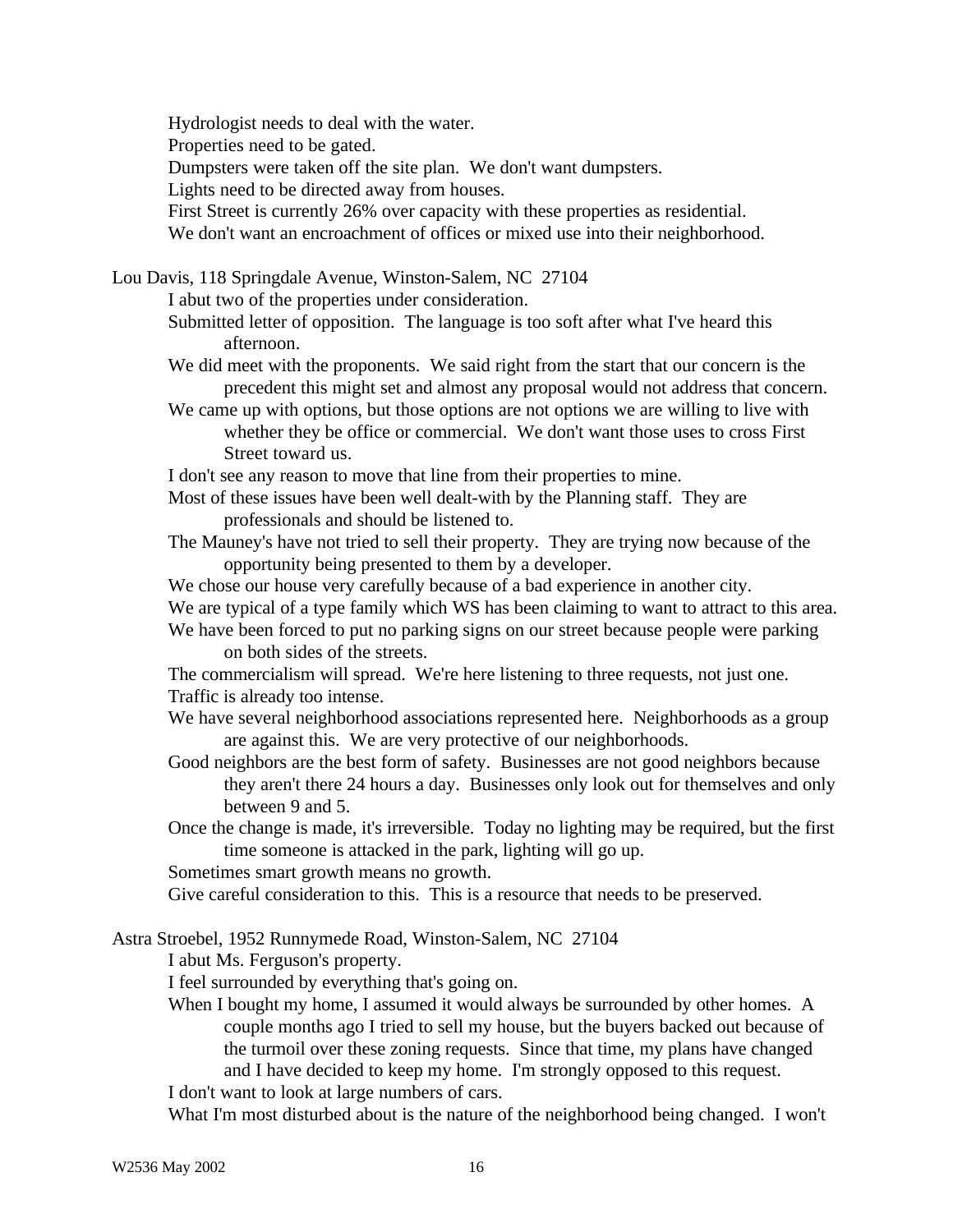Hydrologist needs to deal with the water.

Properties need to be gated.

Dumpsters were taken off the site plan. We don't want dumpsters.

Lights need to be directed away from houses.

First Street is currently 26% over capacity with these properties as residential.

We don't want an encroachment of offices or mixed use into their neighborhood.

Lou Davis, 118 Springdale Avenue, Winston-Salem, NC 27104

I abut two of the properties under consideration.

- Submitted letter of opposition. The language is too soft after what I've heard this afternoon.
- We did meet with the proponents. We said right from the start that our concern is the precedent this might set and almost any proposal would not address that concern.
- We came up with options, but those options are not options we are willing to live with whether they be office or commercial. We don't want those uses to cross First Street toward us.

I don't see any reason to move that line from their properties to mine.

- Most of these issues have been well dealt-with by the Planning staff. They are professionals and should be listened to.
- The Mauney's have not tried to sell their property. They are trying now because of the opportunity being presented to them by a developer.

We chose our house very carefully because of a bad experience in another city.

- We are typical of a type family which WS has been claiming to want to attract to this area.
- We have been forced to put no parking signs on our street because people were parking on both sides of the streets.

The commercialism will spread. We're here listening to three requests, not just one. Traffic is already too intense.

- We have several neighborhood associations represented here. Neighborhoods as a group are against this. We are very protective of our neighborhoods.
- Good neighbors are the best form of safety. Businesses are not good neighbors because they aren't there 24 hours a day. Businesses only look out for themselves and only between 9 and 5.
- Once the change is made, it's irreversible. Today no lighting may be required, but the first time someone is attacked in the park, lighting will go up.

Sometimes smart growth means no growth.

Give careful consideration to this. This is a resource that needs to be preserved.

Astra Stroebel, 1952 Runnymede Road, Winston-Salem, NC 27104

I abut Ms. Ferguson's property.

I feel surrounded by everything that's going on.

When I bought my home, I assumed it would always be surrounded by other homes. A couple months ago I tried to sell my house, but the buyers backed out because of the turmoil over these zoning requests. Since that time, my plans have changed and I have decided to keep my home. I'm strongly opposed to this request. I don't want to look at large numbers of cars.

What I'm most disturbed about is the nature of the neighborhood being changed. I won't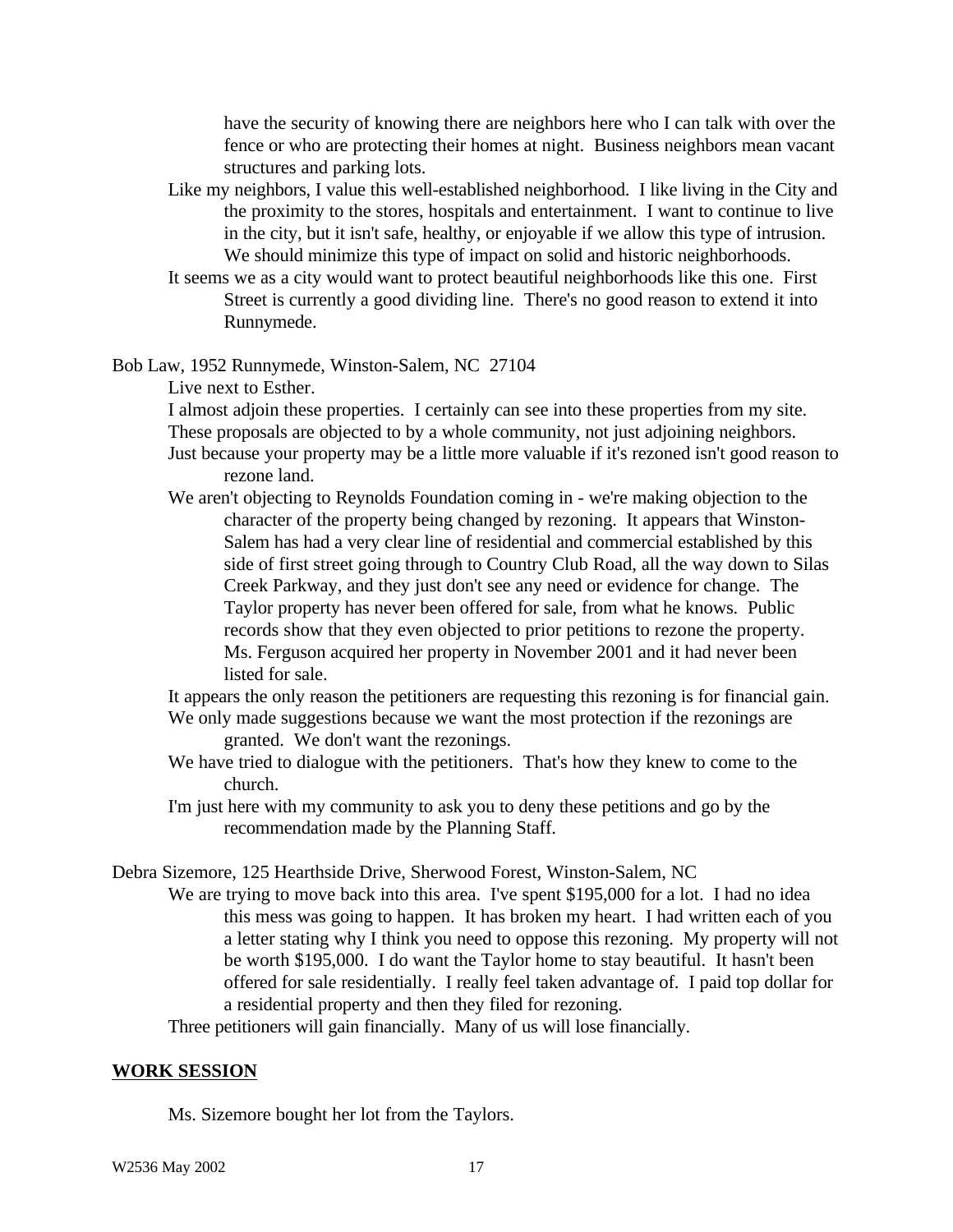have the security of knowing there are neighbors here who I can talk with over the fence or who are protecting their homes at night. Business neighbors mean vacant structures and parking lots.

- Like my neighbors, I value this well-established neighborhood. I like living in the City and the proximity to the stores, hospitals and entertainment. I want to continue to live in the city, but it isn't safe, healthy, or enjoyable if we allow this type of intrusion. We should minimize this type of impact on solid and historic neighborhoods.
- It seems we as a city would want to protect beautiful neighborhoods like this one. First Street is currently a good dividing line. There's no good reason to extend it into Runnymede.

Bob Law, 1952 Runnymede, Winston-Salem, NC 27104

Live next to Esther.

I almost adjoin these properties. I certainly can see into these properties from my site. These proposals are objected to by a whole community, not just adjoining neighbors. Just because your property may be a little more valuable if it's rezoned isn't good reason to

rezone land.

We aren't objecting to Reynolds Foundation coming in - we're making objection to the character of the property being changed by rezoning. It appears that Winston-Salem has had a very clear line of residential and commercial established by this side of first street going through to Country Club Road, all the way down to Silas Creek Parkway, and they just don't see any need or evidence for change. The Taylor property has never been offered for sale, from what he knows. Public records show that they even objected to prior petitions to rezone the property. Ms. Ferguson acquired her property in November 2001 and it had never been listed for sale.

It appears the only reason the petitioners are requesting this rezoning is for financial gain. We only made suggestions because we want the most protection if the rezonings are

granted. We don't want the rezonings.

We have tried to dialogue with the petitioners. That's how they knew to come to the church.

I'm just here with my community to ask you to deny these petitions and go by the recommendation made by the Planning Staff.

Debra Sizemore, 125 Hearthside Drive, Sherwood Forest, Winston-Salem, NC

We are trying to move back into this area. I've spent \$195,000 for a lot. I had no idea this mess was going to happen. It has broken my heart. I had written each of you a letter stating why I think you need to oppose this rezoning. My property will not be worth \$195,000. I do want the Taylor home to stay beautiful. It hasn't been offered for sale residentially. I really feel taken advantage of. I paid top dollar for a residential property and then they filed for rezoning.

Three petitioners will gain financially. Many of us will lose financially.

#### **WORK SESSION**

Ms. Sizemore bought her lot from the Taylors.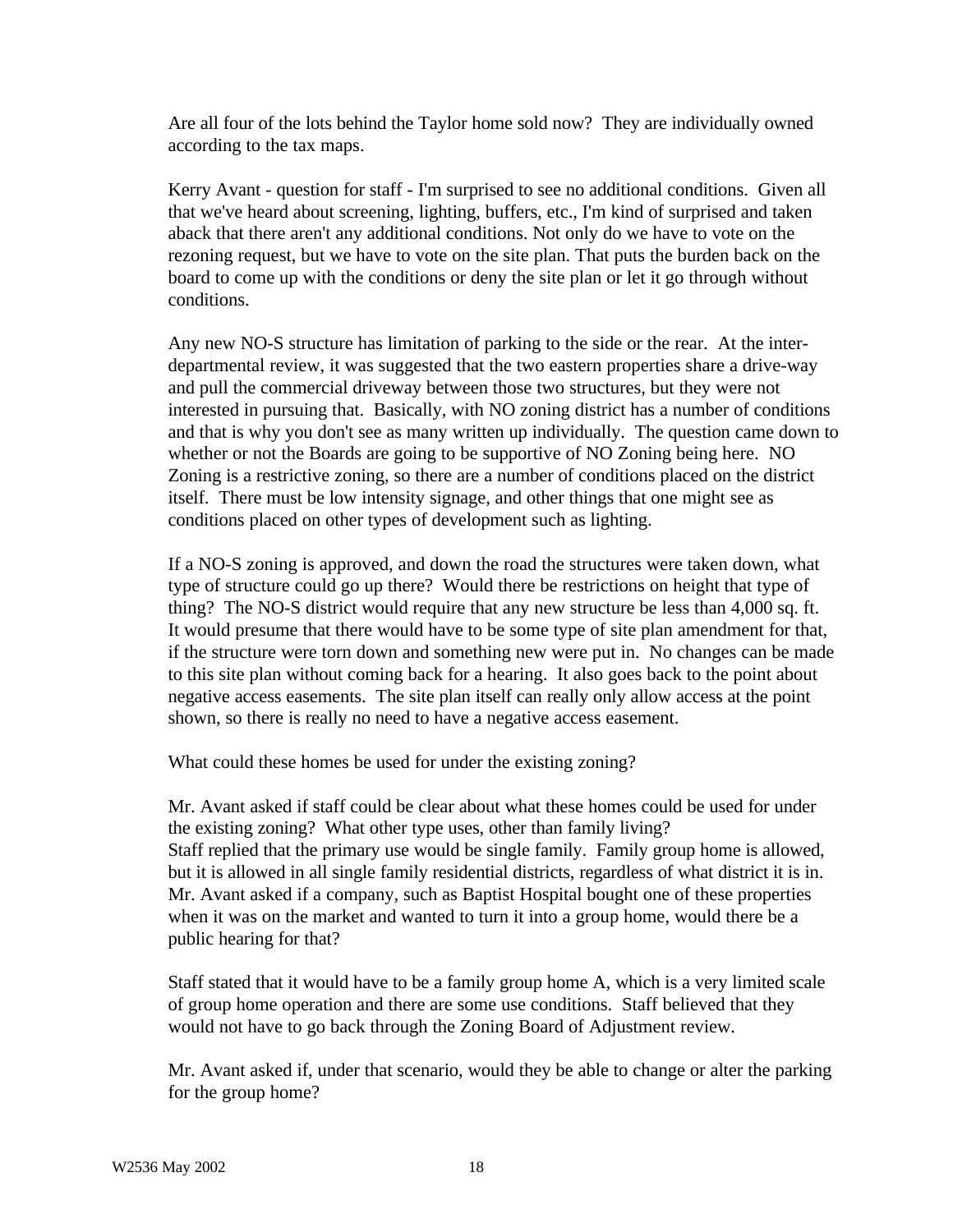Are all four of the lots behind the Taylor home sold now? They are individually owned according to the tax maps.

Kerry Avant - question for staff - I'm surprised to see no additional conditions. Given all that we've heard about screening, lighting, buffers, etc., I'm kind of surprised and taken aback that there aren't any additional conditions. Not only do we have to vote on the rezoning request, but we have to vote on the site plan. That puts the burden back on the board to come up with the conditions or deny the site plan or let it go through without conditions.

Any new NO-S structure has limitation of parking to the side or the rear. At the interdepartmental review, it was suggested that the two eastern properties share a drive-way and pull the commercial driveway between those two structures, but they were not interested in pursuing that. Basically, with NO zoning district has a number of conditions and that is why you don't see as many written up individually. The question came down to whether or not the Boards are going to be supportive of NO Zoning being here. NO Zoning is a restrictive zoning, so there are a number of conditions placed on the district itself. There must be low intensity signage, and other things that one might see as conditions placed on other types of development such as lighting.

If a NO-S zoning is approved, and down the road the structures were taken down, what type of structure could go up there? Would there be restrictions on height that type of thing? The NO-S district would require that any new structure be less than 4,000 sq. ft. It would presume that there would have to be some type of site plan amendment for that, if the structure were torn down and something new were put in. No changes can be made to this site plan without coming back for a hearing. It also goes back to the point about negative access easements. The site plan itself can really only allow access at the point shown, so there is really no need to have a negative access easement.

What could these homes be used for under the existing zoning?

Mr. Avant asked if staff could be clear about what these homes could be used for under the existing zoning? What other type uses, other than family living? Staff replied that the primary use would be single family. Family group home is allowed, but it is allowed in all single family residential districts, regardless of what district it is in. Mr. Avant asked if a company, such as Baptist Hospital bought one of these properties when it was on the market and wanted to turn it into a group home, would there be a public hearing for that?

Staff stated that it would have to be a family group home A, which is a very limited scale of group home operation and there are some use conditions. Staff believed that they would not have to go back through the Zoning Board of Adjustment review.

Mr. Avant asked if, under that scenario, would they be able to change or alter the parking for the group home?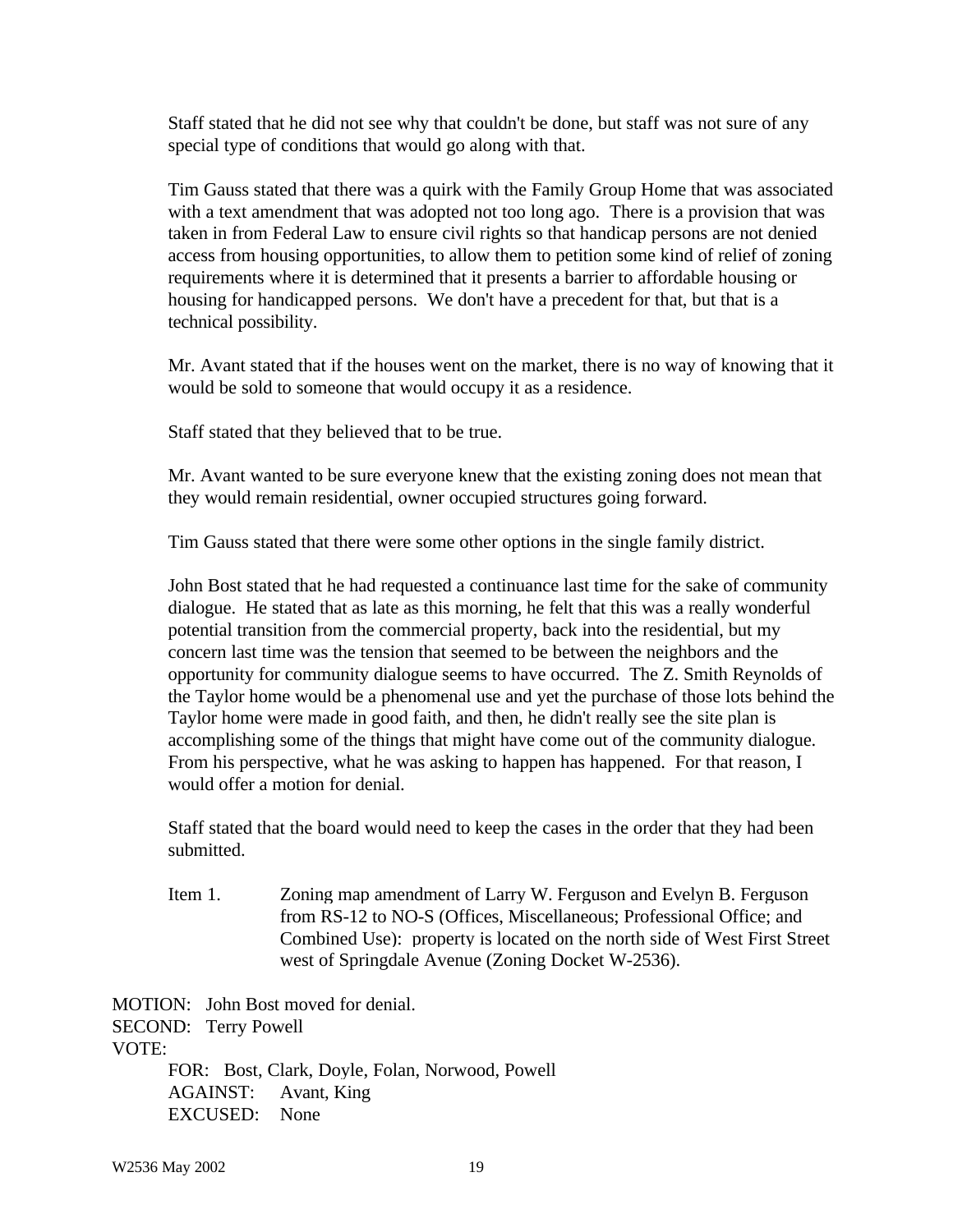Staff stated that he did not see why that couldn't be done, but staff was not sure of any special type of conditions that would go along with that.

Tim Gauss stated that there was a quirk with the Family Group Home that was associated with a text amendment that was adopted not too long ago. There is a provision that was taken in from Federal Law to ensure civil rights so that handicap persons are not denied access from housing opportunities, to allow them to petition some kind of relief of zoning requirements where it is determined that it presents a barrier to affordable housing or housing for handicapped persons. We don't have a precedent for that, but that is a technical possibility.

Mr. Avant stated that if the houses went on the market, there is no way of knowing that it would be sold to someone that would occupy it as a residence.

Staff stated that they believed that to be true.

Mr. Avant wanted to be sure everyone knew that the existing zoning does not mean that they would remain residential, owner occupied structures going forward.

Tim Gauss stated that there were some other options in the single family district.

John Bost stated that he had requested a continuance last time for the sake of community dialogue. He stated that as late as this morning, he felt that this was a really wonderful potential transition from the commercial property, back into the residential, but my concern last time was the tension that seemed to be between the neighbors and the opportunity for community dialogue seems to have occurred. The Z. Smith Reynolds of the Taylor home would be a phenomenal use and yet the purchase of those lots behind the Taylor home were made in good faith, and then, he didn't really see the site plan is accomplishing some of the things that might have come out of the community dialogue. From his perspective, what he was asking to happen has happened. For that reason, I would offer a motion for denial.

Staff stated that the board would need to keep the cases in the order that they had been submitted.

Item 1. Zoning map amendment of Larry W. Ferguson and Evelyn B. Ferguson from RS-12 to NO-S (Offices, Miscellaneous; Professional Office; and Combined Use): property is located on the north side of West First Street west of Springdale Avenue (Zoning Docket W-2536).

MOTION: John Bost moved for denial. SECOND: Terry Powell VOTE: FOR: Bost, Clark, Doyle, Folan, Norwood, Powell AGAINST: Avant, King EXCUSED: None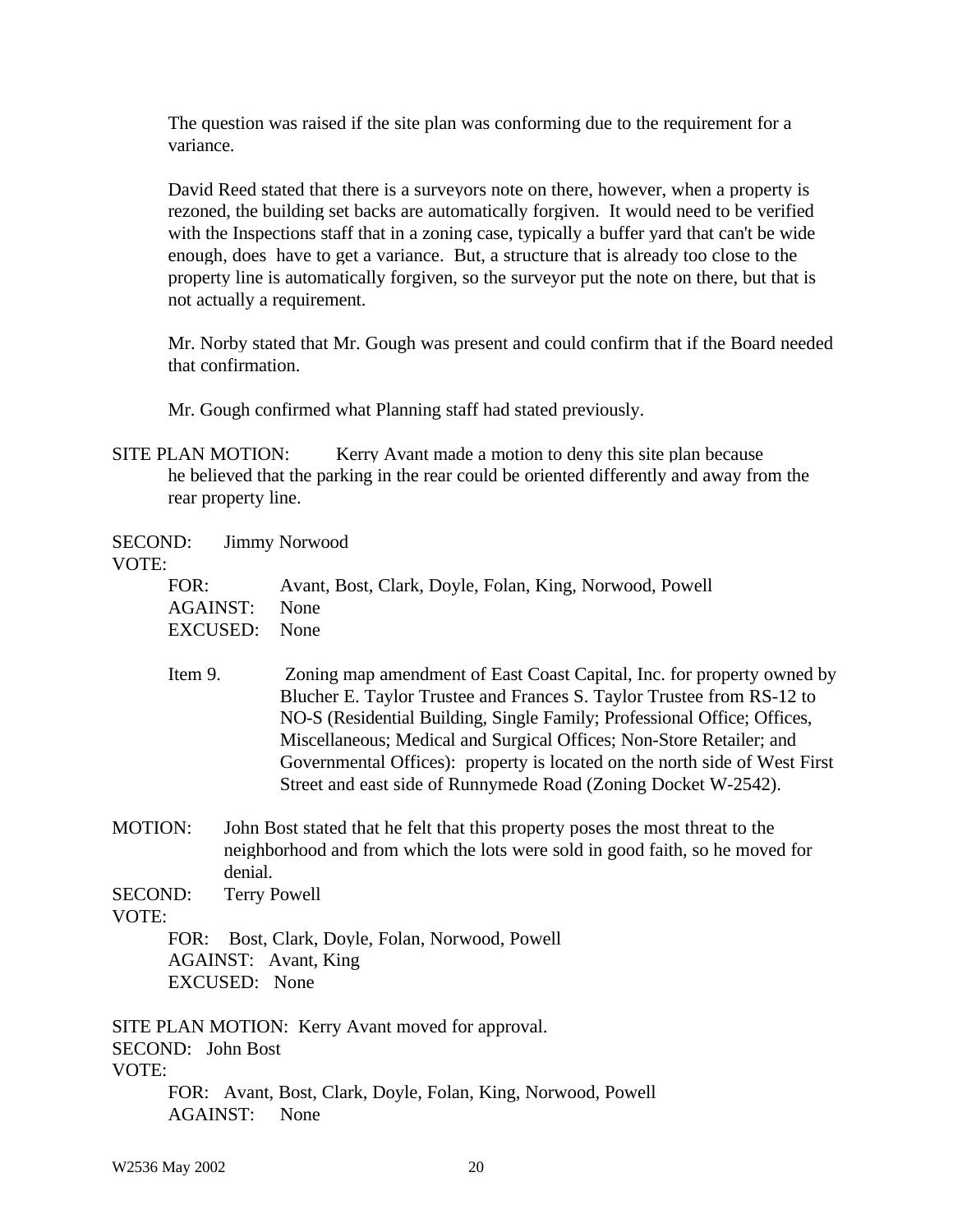The question was raised if the site plan was conforming due to the requirement for a variance.

David Reed stated that there is a surveyors note on there, however, when a property is rezoned, the building set backs are automatically forgiven. It would need to be verified with the Inspections staff that in a zoning case, typically a buffer yard that can't be wide enough, does have to get a variance. But, a structure that is already too close to the property line is automatically forgiven, so the surveyor put the note on there, but that is not actually a requirement.

Mr. Norby stated that Mr. Gough was present and could confirm that if the Board needed that confirmation.

Mr. Gough confirmed what Planning staff had stated previously.

SITE PLAN MOTION: Kerry Avant made a motion to deny this site plan because he believed that the parking in the rear could be oriented differently and away from the rear property line.

SECOND: Jimmy Norwood

VOTE:

| FOR:          | Avant, Bost, Clark, Doyle, Folan, King, Norwood, Powell |
|---------------|---------------------------------------------------------|
| AGAINST: None |                                                         |
| EXCUSED: None |                                                         |

- Item 9. Zoning map amendment of East Coast Capital, Inc. for property owned by Blucher E. Taylor Trustee and Frances S. Taylor Trustee from RS-12 to NO-S (Residential Building, Single Family; Professional Office; Offices, Miscellaneous; Medical and Surgical Offices; Non-Store Retailer; and Governmental Offices): property is located on the north side of West First Street and east side of Runnymede Road (Zoning Docket W-2542).
- MOTION: John Bost stated that he felt that this property poses the most threat to the neighborhood and from which the lots were sold in good faith, so he moved for denial.

SECOND: Terry Powell

VOTE:

FOR: Bost, Clark, Doyle, Folan, Norwood, Powell AGAINST: Avant, King EXCUSED: None

SITE PLAN MOTION: Kerry Avant moved for approval. SECOND: John Bost VOTE: FOR: Avant, Bost, Clark, Doyle, Folan, King, Norwood, Powell AGAINST: None

W2536 May 2002 20